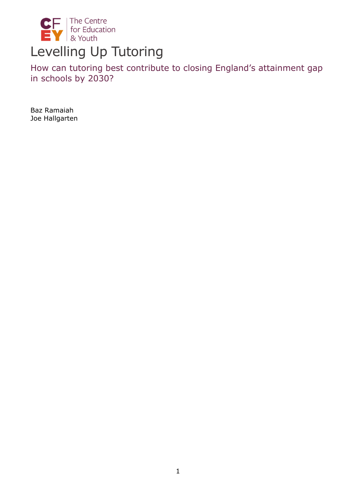

How can tutoring best contribute to closing England's attainment gap in schools by 2030?

Baz Ramaiah Joe Hallgarten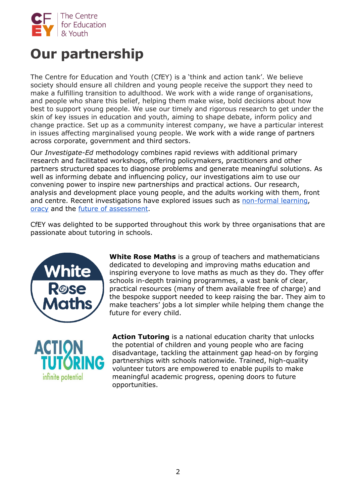

# **Our partnership**

The Centre for Education and Youth (CfEY) is a 'think and action tank'. We believe society should ensure all children and young people receive the support they need to make a fulfilling transition to adulthood. We work with a wide range of organisations, and people who share this belief, helping them make wise, bold decisions about how best to support young people. We use our timely and rigorous research to get under the skin of key issues in education and youth, aiming to shape debate, inform policy and change practice. Set up as a community interest company, we have a particular interest in issues affecting marginalised young people. We work with a wide range of partners across corporate, government and third sectors.

Our *Investigate-Ed* methodology combines rapid reviews with additional primary research and facilitated workshops, offering policymakers, practitioners and other partners structured spaces to diagnose problems and generate meaningful solutions. As well as informing debate and influencing policy, our investigations aim to use our convening power to inspire new partnerships and practical actions. Our research, analysis and development place young people, and the adults working with them, front and centre. Recent investigations have explored issues such a[s](https://cfey.org/wp-content/uploads/2021/10/CfEY-Enriching-Education-V5.pdf) [non-formal learning](https://cfey.org/wp-content/uploads/2021/10/CfEY-Enriching-Education-V5.pdf)[,](https://cfey.org/wp-content/uploads/2021/04/EMBARGOED-until-280421_Oracy_APPG_FinalReport.pdf) [oracy](https://cfey.org/wp-content/uploads/2021/04/EMBARGOED-until-280421_Oracy_APPG_FinalReport.pdf) and th[e](https://cfey.org/wp-content/uploads/2020/12/40110-UK-Making-Waves-research-report-Final-SMALL-WEB-VERSION-1.pdf) [future of assessment.](https://cfey.org/wp-content/uploads/2020/12/40110-UK-Making-Waves-research-report-Final-SMALL-WEB-VERSION-1.pdf)

CfEY was delighted to be supported throughout this work by three organisations that are passionate about tutoring in schools.



**White Rose Maths** is a group of teachers and mathematicians dedicated to developing and improving maths education and inspiring everyone to love maths as much as they do. They offer schools in-depth training programmes, a vast bank of clear, practical resources (many of them available free of charge) and the bespoke support needed to keep raising the bar. They aim to make teachers' jobs a lot simpler while helping them change the future for every child.



**Action Tutoring** is a national education charity that unlocks the potential of children and young people who are facing disadvantage, tackling the attainment gap head-on by forging partnerships with schools nationwide. Trained, high-quality volunteer tutors are empowered to enable pupils to make meaningful academic progress, opening doors to future opportunities.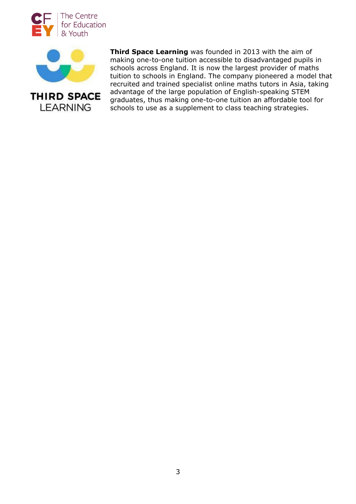



**LEARNING** 

**Third Space Learning** was founded in 2013 with the aim of making one-to-one tuition accessible to disadvantaged pupils in schools across England. It is now the largest provider of maths tuition to schools in England. The company pioneered a model that recruited and trained specialist online maths tutors in Asia, taking advantage of the large population of English-speaking STEM graduates, thus making one-to-one tuition an affordable tool for schools to use as a supplement to class teaching strategies.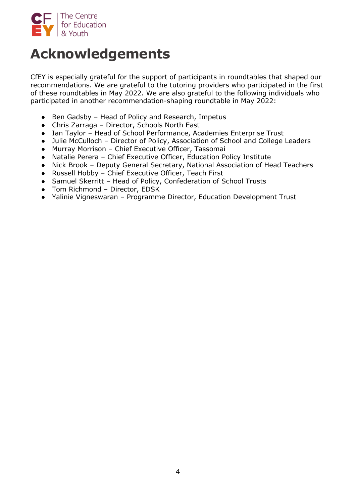

# **Acknowledgements**

CfEY is especially grateful for the support of participants in roundtables that shaped our recommendations. We are grateful to the tutoring providers who participated in the first of these roundtables in May 2022. We are also grateful to the following individuals who participated in another recommendation-shaping roundtable in May 2022:

- Ben Gadsby Head of Policy and Research, Impetus
- Chris Zarraga Director, Schools North East
- Ian Taylor Head of School Performance, Academies Enterprise Trust
- Julie McCulloch Director of Policy, Association of School and College Leaders
- Murray Morrison Chief Executive Officer, Tassomai
- Natalie Perera Chief Executive Officer, Education Policy Institute
- Nick Brook Deputy General Secretary, National Association of Head Teachers
- Russell Hobby Chief Executive Officer, Teach First
- Samuel Skerritt Head of Policy, Confederation of School Trusts
- Tom Richmond Director, EDSK
- Yalinie Vigneswaran Programme Director, Education Development Trust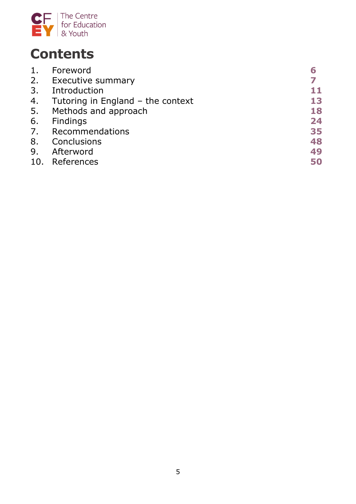

# **Contents**

| 1.  | Foreword                            |    |
|-----|-------------------------------------|----|
| 2.  | Executive summary                   |    |
| 3.  | Introduction                        | 11 |
| 4.  | Tutoring in England $-$ the context | 13 |
| 5.  | Methods and approach                | 18 |
| 6.  | Findings                            | 24 |
| 7.  | Recommendations                     | 35 |
| 8.  | Conclusions                         | 48 |
| 9.  | Afterword                           | 49 |
| 10. | References                          | 50 |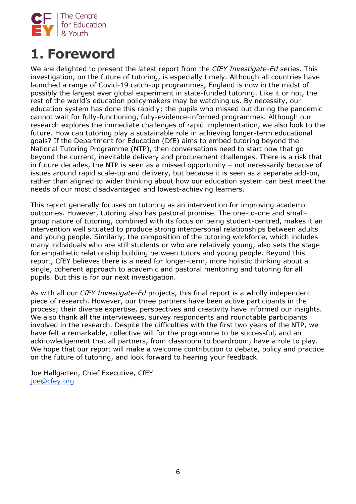

# **1. Foreword**

We are delighted to present the latest report from the *CfEY Investigate-Ed* series. This investigation, on the future of tutoring, is especially timely. Although all countries have launched a range of Covid-19 catch-up programmes, England is now in the midst of possibly the largest ever global experiment in state-funded tutoring. Like it or not, the rest of the world's education policymakers may be watching us. By necessity, our education system has done this rapidly; the pupils who missed out during the pandemic cannot wait for fully-functioning, fully-evidence-informed programmes. Although our research explores the immediate challenges of rapid implementation, we also look to the future. How can tutoring play a sustainable role in achieving longer-term educational goals? If the Department for Education (DfE) aims to embed tutoring beyond the National Tutoring Programme (NTP), then conversations need to start now that go beyond the current, inevitable delivery and procurement challenges. There is a risk that in future decades, the NTP is seen as a missed opportunity – not necessarily because of issues around rapid scale-up and delivery, but because it is seen as a separate add-on, rather than aligned to wider thinking about how our education system can best meet the needs of our most disadvantaged and lowest-achieving learners.

This report generally focuses on tutoring as an intervention for improving academic outcomes. However, tutoring also has pastoral promise. The one-to-one and smallgroup nature of tutoring, combined with its focus on being student-centred, makes it an intervention well situated to produce strong interpersonal relationships between adults and young people. Similarly, the composition of the tutoring workforce, which includes many individuals who are still students or who are relatively young, also sets the stage for empathetic relationship building between tutors and young people. Beyond this report, CfEY believes there is a need for longer-term, more holistic thinking about a single, coherent approach to academic and pastoral mentoring and tutoring for all pupils. But this is for our next investigation.

As with all our *CfEY Investigate-Ed* projects, this final report is a wholly independent piece of research. However, our three partners have been active participants in the process; their diverse expertise, perspectives and creativity have informed our insights. We also thank all the interviewees, survey respondents and roundtable participants involved in the research. Despite the difficulties with the first two years of the NTP, we have felt a remarkable, collective will for the programme to be successful, and an acknowledgement that all partners, from classroom to boardroom, have a role to play. We hope that our report will make a welcome contribution to debate, policy and practice on the future of tutoring, and look forward to hearing your feedback.

Joe Hallgarten, Chief Executive, CfEY [joe@cfey.org](mailto:joe@cfey.org)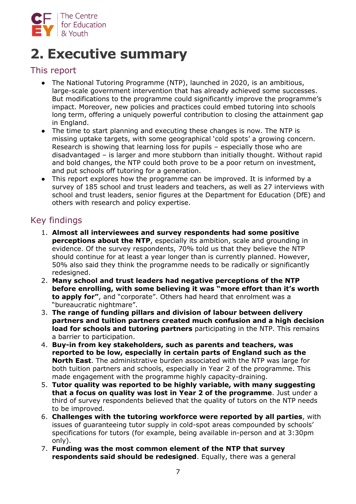

# **2. Executive summary**

## This report

- The National Tutoring Programme (NTP), launched in 2020, is an ambitious, large-scale government intervention that has already achieved some successes. But modifications to the programme could significantly improve the programme's impact. Moreover, new policies and practices could embed tutoring into schools long term, offering a uniquely powerful contribution to closing the attainment gap in England.
- The time to start planning and executing these changes is now. The NTP is missing uptake targets, with some geographical 'cold spots' a growing concern. Research is showing that learning loss for pupils – especially those who are disadvantaged – is larger and more stubborn than initially thought. Without rapid and bold changes, the NTP could both prove to be a poor return on investment, and put schools off tutoring for a generation.
- This report explores how the programme can be improved. It is informed by a survey of 185 school and trust leaders and teachers, as well as 27 interviews with school and trust leaders, senior figures at the Department for Education (DfE) and others with research and policy expertise.

# Key findings

- 1. **Almost all interviewees and survey respondents had some positive perceptions about the NTP**, especially its ambition, scale and grounding in evidence. Of the survey respondents, 70% told us that they believe the NTP should continue for at least a year longer than is currently planned. However, 50% also said they think the programme needs to be radically or significantly redesigned.
- 2. **Many school and trust leaders had negative perceptions of the NTP before enrolling, with some believing it was "more effort than it's worth to apply for"**, and "corporate". Others had heard that enrolment was a "bureaucratic nightmare".
- 3. **The range of funding pillars and division of labour between delivery partners and tuition partners created much confusion and a high decision load for schools and tutoring partners** participating in the NTP. This remains a barrier to participation.
- 4. **Buy-in from key stakeholders, such as parents and teachers, was reported to be low, especially in certain parts of England such as the North East**. The administrative burden associated with the NTP was large for both tuition partners and schools, especially in Year 2 of the programme. This made engagement with the programme highly capacity-draining.
- 5. **Tutor quality was reported to be highly variable, with many suggesting that a focus on quality was lost in Year 2 of the programme**. Just under a third of survey respondents believed that the quality of tutors on the NTP needs to be improved.
- 6. **Challenges with the tutoring workforce were reported by all parties**, with issues of guaranteeing tutor supply in cold-spot areas compounded by schools' specifications for tutors (for example, being available in-person and at 3:30pm only).
- 7. **Funding was the most common element of the NTP that survey respondents said should be redesigned**. Equally, there was a general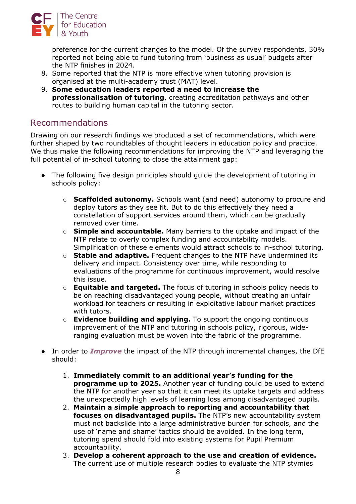

preference for the current changes to the model. Of the survey respondents, 30% reported not being able to fund tutoring from 'business as usual' budgets after the NTP finishes in 2024.

- 8. Some reported that the NTP is more effective when tutoring provision is organised at the multi-academy trust (MAT) level.
- 9. **Some education leaders reported a need to increase the professionalisation of tutoring**, creating accreditation pathways and other routes to building human capital in the tutoring sector.

## Recommendations

Drawing on our research findings we produced a set of recommendations, which were further shaped by two roundtables of thought leaders in education policy and practice. We thus make the following recommendations for improving the NTP and leveraging the full potential of in-school tutoring to close the attainment gap:

- The following five design principles should guide the development of tutoring in schools policy:
	- o **Scaffolded autonomy.** Schools want (and need) autonomy to procure and deploy tutors as they see fit. But to do this effectively they need a constellation of support services around them, which can be gradually removed over time.
	- o **Simple and accountable.** Many barriers to the uptake and impact of the NTP relate to overly complex funding and accountability models. Simplification of these elements would attract schools to in-school tutoring.
	- o **Stable and adaptive.** Frequent changes to the NTP have undermined its delivery and impact. Consistency over time, while responding to evaluations of the programme for continuous improvement, would resolve this issue.
	- o **Equitable and targeted.** The focus of tutoring in schools policy needs to be on reaching disadvantaged young people, without creating an unfair workload for teachers or resulting in exploitative labour market practices with tutors.
	- o **Evidence building and applying.** To support the ongoing continuous improvement of the NTP and tutoring in schools policy, rigorous, wideranging evaluation must be woven into the fabric of the programme.
- In order to *Improve* the impact of the NTP through incremental changes, the DfE should:
	- 1. **Immediately commit to an additional year's funding for the programme up to 2025.** Another year of funding could be used to extend the NTP for another year so that it can meet its uptake targets and address the unexpectedly high levels of learning loss among disadvantaged pupils.
	- 2. **Maintain a simple approach to reporting and accountability that focuses on disadvantaged pupils.** The NTP's new accountability system must not backslide into a large administrative burden for schools, and the use of 'name and shame' tactics should be avoided. In the long term, tutoring spend should fold into existing systems for Pupil Premium accountability.
	- 3. **Develop a coherent approach to the use and creation of evidence.** The current use of multiple research bodies to evaluate the NTP stymies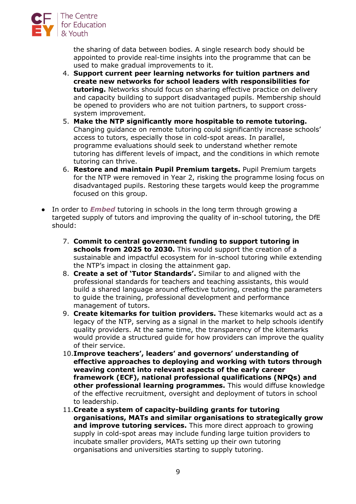

the sharing of data between bodies. A single research body should be appointed to provide real-time insights into the programme that can be used to make gradual improvements to it.

- 4. **Support current peer learning networks for tuition partners and create new networks for school leaders with responsibilities for tutoring.** Networks should focus on sharing effective practice on delivery and capacity building to support disadvantaged pupils. Membership should be opened to providers who are not tuition partners, to support crosssystem improvement.
- 5. **Make the NTP significantly more hospitable to remote tutoring.** Changing guidance on remote tutoring could significantly increase schools' access to tutors, especially those in cold-spot areas. In parallel, programme evaluations should seek to understand whether remote tutoring has different levels of impact, and the conditions in which remote tutoring can thrive.
- 6. **Restore and maintain Pupil Premium targets.** Pupil Premium targets for the NTP were removed in Year 2, risking the programme losing focus on disadvantaged pupils. Restoring these targets would keep the programme focused on this group.
- In order to *Embed* tutoring in schools in the long term through growing a targeted supply of tutors and improving the quality of in-school tutoring, the DfE should:
	- 7. **Commit to central government funding to support tutoring in schools from 2025 to 2030.** This would support the creation of a sustainable and impactful ecosystem for in-school tutoring while extending the NTP's impact in closing the attainment gap.
	- 8. **Create a set of 'Tutor Standards'.** Similar to and aligned with the professional standards for teachers and teaching assistants, this would build a shared language around effective tutoring, creating the parameters to guide the training, professional development and performance management of tutors.
	- 9. **Create kitemarks for tuition providers.** These kitemarks would act as a legacy of the NTP, serving as a signal in the market to help schools identify quality providers. At the same time, the transparency of the kitemarks would provide a structured guide for how providers can improve the quality of their service.
	- 10.**Improve teachers', leaders' and governors' understanding of effective approaches to deploying and working with tutors through weaving content into relevant aspects of the early career framework (ECF), national professional qualifications (NPQs) and other professional learning programmes.** This would diffuse knowledge of the effective recruitment, oversight and deployment of tutors in school to leadership.
	- 11.**Create a system of capacity-building grants for tutoring organisations, MATs and similar organisations to strategically grow and improve tutoring services.** This more direct approach to growing supply in cold-spot areas may include funding large tuition providers to incubate smaller providers, MATs setting up their own tutoring organisations and universities starting to supply tutoring.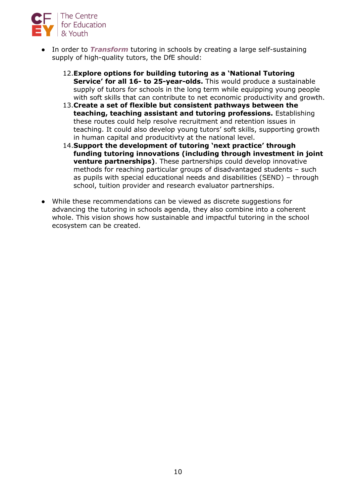

- In order to *Transform* tutoring in schools by creating a large self-sustaining supply of high-quality tutors, the DfE should:
	- 12.**Explore options for building tutoring as a 'National Tutoring Service' for all 16- to 25-year-olds.** This would produce a sustainable supply of tutors for schools in the long term while equipping young people with soft skills that can contribute to net economic productivity and growth.
	- 13.**Create a set of flexible but consistent pathways between the teaching, teaching assistant and tutoring professions.** Establishing these routes could help resolve recruitment and retention issues in teaching. It could also develop young tutors' soft skills, supporting growth in human capital and producitivty at the national level.
	- 14.**Support the development of tutoring 'next practice' through funding tutoring innovations (including through investment in joint venture partnerships)**. These partnerships could develop innovative methods for reaching particular groups of disadvantaged students – such as pupils with special educational needs and disabilities (SEND) – through school, tuition provider and research evaluator partnerships.
- While these recommendations can be viewed as discrete suggestions for advancing the tutoring in schools agenda, they also combine into a coherent whole. This vision shows how sustainable and impactful tutoring in the school ecosystem can be created.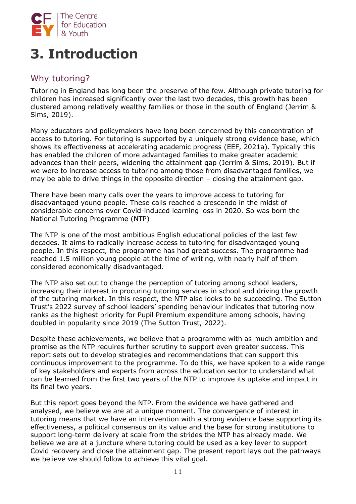

# **3. Introduction**

# Why tutoring?

Tutoring in England has long been the preserve of the few. Although private tutoring for children has increased significantly over the last two decades, this growth has been clustered among relatively wealthy families or those in the south of England (Jerrim & Sims, 2019).

Many educators and policymakers have long been concerned by this concentration of access to tutoring. For tutoring is supported by a uniquely strong evidence base, which shows its effectiveness at accelerating academic progress (EEF, 2021a). Typically this has enabled the children of more advantaged families to make greater academic advances than their peers, widening the attainment gap (Jerrim & Sims, 2019). But if we were to increase access to tutoring among those from disadvantaged families, we may be able to drive things in the opposite direction – closing the attainment gap.

There have been many calls over the years to improve access to tutoring for disadvantaged young people. These calls reached a crescendo in the midst of considerable concerns over Covid-induced learning loss in 2020. So was born the National Tutoring Programme (NTP)

The NTP is one of the most ambitious English educational policies of the last few decades. It aims to radically increase access to tutoring for disadvantaged young people. In this respect, the programme has had great success. The programme had reached 1.5 million young people at the time of writing, with nearly half of them considered economically disadvantaged.

The NTP also set out to change the perception of tutoring among school leaders, increasing their interest in procuring tutoring services in school and driving the growth of the tutoring market. In this respect, the NTP also looks to be succeeding. The Sutton Trust's 2022 survey of school leaders' spending behaviour indicates that tutoring now ranks as the highest priority for Pupil Premium expenditure among schools, having doubled in popularity since 2019 (The Sutton Trust, 2022).

Despite these achievements, we believe that a programme with as much ambition and promise as the NTP requires further scrutiny to support even greater success. This report sets out to develop strategies and recommendations that can support this continuous improvement to the programme. To do this, we have spoken to a wide range of key stakeholders and experts from across the education sector to understand what can be learned from the first two years of the NTP to improve its uptake and impact in its final two years.

But this report goes beyond the NTP. From the evidence we have gathered and analysed, we believe we are at a unique moment. The convergence of interest in tutoring means that we have an intervention with a strong evidence base supporting its effectiveness, a political consensus on its value and the base for strong institutions to support long-term delivery at scale from the strides the NTP has already made. We believe we are at a juncture where tutoring could be used as a key lever to support Covid recovery and close the attainment gap. The present report lays out the pathways we believe we should follow to achieve this vital goal.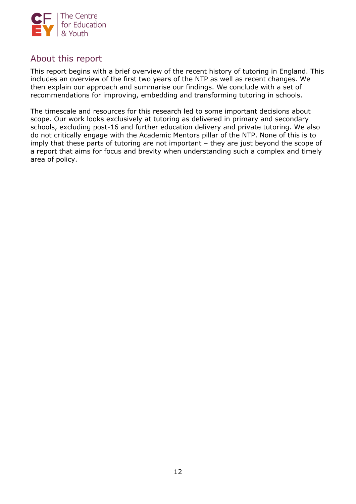

## About this report

This report begins with a brief overview of the recent history of tutoring in England. This includes an overview of the first two years of the NTP as well as recent changes. We then explain our approach and summarise our findings. We conclude with a set of recommendations for improving, embedding and transforming tutoring in schools.

The timescale and resources for this research led to some important decisions about scope. Our work looks exclusively at tutoring as delivered in primary and secondary schools, excluding post-16 and further education delivery and private tutoring. We also do not critically engage with the Academic Mentors pillar of the NTP. None of this is to imply that these parts of tutoring are not important – they are just beyond the scope of a report that aims for focus and brevity when understanding such a complex and timely area of policy.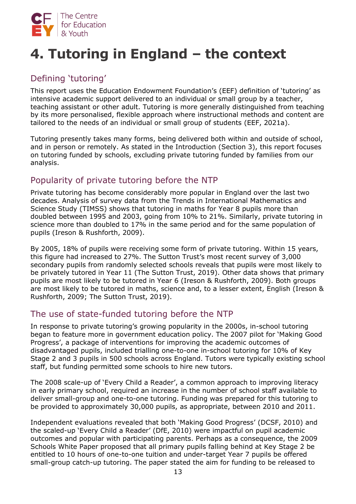

# **4. Tutoring in England – the context**

# Defining 'tutoring'

This report uses the Education Endowment Foundation's (EEF) definition of 'tutoring' as intensive academic support delivered to an individual or small group by a teacher, teaching assistant or other adult. Tutoring is more generally distinguished from teaching by its more personalised, flexible approach where instructional methods and content are tailored to the needs of an individual or small group of students (EEF, 2021a).

Tutoring presently takes many forms, being delivered both within and outside of school, and in person or remotely. As stated in the Introduction (Section 3), this report focuses on tutoring funded by schools, excluding private tutoring funded by families from our analysis.

# Popularity of private tutoring before the NTP

Private tutoring has become considerably more popular in England over the last two decades. Analysis of survey data from the Trends in International Mathematics and Science Study (TIMSS) shows that tutoring in maths for Year 8 pupils more than doubled between 1995 and 2003, going from 10% to 21%. Similarly, private tutoring in science more than doubled to 17% in the same period and for the same population of pupils (Ireson & Rushforth, 2009).

By 2005, 18% of pupils were receiving some form of private tutoring. Within 15 years, this figure had increased to 27%. The Sutton Trust's most recent survey of 3,000 secondary pupils from randomly selected schools reveals that pupils were most likely to be privately tutored in Year 11 (The Sutton Trust, 2019). Other data shows that primary pupils are most likely to be tutored in Year 6 (Ireson & Rushforth, 2009). Both groups are most likely to be tutored in maths, science and, to a lesser extent, English (Ireson & Rushforth, 2009; The Sutton Trust, 2019).

## The use of state-funded tutoring before the NTP

In response to private tutoring's growing popularity in the 2000s, in-school tutoring began to feature more in government education policy. The 2007 pilot for 'Making Good Progress', a package of interventions for improving the academic outcomes of disadvantaged pupils, included trialling one-to-one in-school tutoring for 10% of Key Stage 2 and 3 pupils in 500 schools across England. Tutors were typically existing school staff, but funding permitted some schools to hire new tutors.

The 2008 scale-up of 'Every Child a Reader', a common approach to improving literacy in early primary school, required an increase in the number of school staff available to deliver small-group and one-to-one tutoring. Funding was prepared for this tutoring to be provided to approximately 30,000 pupils, as appropriate, between 2010 and 2011.

Independent evaluations revealed that both 'Making Good Progress' (DCSF, 2010) and the scaled-up 'Every Child a Reader' ([DfE, 2010\)](https://assets.publishing.service.gov.uk/government/uploads/system/uploads/attachment_data/file/182631/DFE-RR114.pdf) were impactful on pupil academic outcomes and popular with participating parents. Perhaps as a consequence, the 2009 Schools White Paper proposed that all primary pupils falling behind at Key Stage 2 be entitled to 10 hours of one-to-one tuition and under-target Year 7 pupils be offered small-group catch-up tutoring. The paper stated the aim for funding to be released to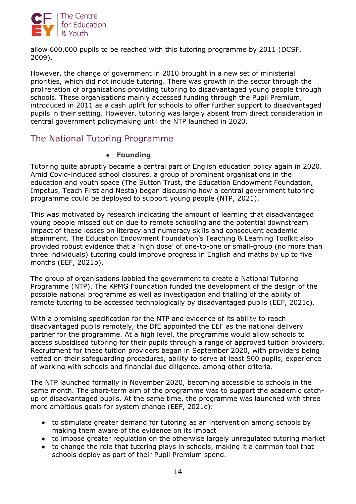

allow 600,000 pupils to be reached with this tutoring programme by 2011 (DCSF, 2009).

However, the change of government in 2010 brought in a new set of ministerial priorities, which did not include tutoring. There was growth in the sector through the proliferation of organisations providing tutoring to disadvantaged young people through schools. These organisations mainly accessed funding through the Pupil Premium, introduced in 2011 as a cash uplift for schools to offer further support to disadvantaged pupils in their setting. However, tutoring was largely absent from direct consideration in central government policymaking until the NTP launched in 2020.

## The National Tutoring Programme

## ● **Founding**

Tutoring quite abruptly became a central part of English education policy again in 2020. Amid Covid-induced school closures, a group of prominent organisations in the education and youth space (The Sutton Trust, the Education Endowment Foundation, Impetus, Teach First and Nesta) began discussing how a central government tutoring programme could be deployed to support young people (NTP, 2021).

This was motivated by research indicating the amount of learning that disadvantaged young people missed out on due to remote schooling and the potential downstream impact of these losses on literacy and numeracy skills and consequent academic attainment. The Education Endowment Foundation's Teaching & Learning Toolkit also provided robust evidence that a 'high dose' of one-to-one or small-group (no more than three individuals) tutoring could improve progress in English and maths by up to five months (EEF, 2021b).

The group of organisations lobbied the government to create a National Tutoring Programme (NTP). The KPMG Foundation funded the development of the design of the possible national programme as well as investigation and trialling of the ability of remote tutoring to be accessed technologically by disadvantaged pupils (EEF, 2021c).

With a promising specification for the NTP and evidence of its ability to reach disadvantaged pupils remotely, the DfE appointed the EEF as the national delivery partner for the programme. At a high level, the programme would allow schools to access subsidised tutoring for their pupils through a range of approved tuition providers. Recruitment for these tuition providers began in September 2020, with providers being vetted on their safeguarding procedures, ability to serve at least 500 pupils, experience of working with schools and financial due diligence, among other criteria.

The NTP launched formally in November 2020, becoming accessible to schools in the same month. The short-term aim of the programme was to support the academic catchup of disadvantaged pupils. At the same time, the programme was launched with three more ambitious goals for system change (EEF, 2021c):

- to stimulate greater demand for tutoring as an intervention among schools by making them aware of the evidence on its impact
- to impose greater regulation on the otherwise largely unregulated tutoring market
- to change the role that tutoring plays in schools, making it a common tool that schools deploy as part of their Pupil Premium spend.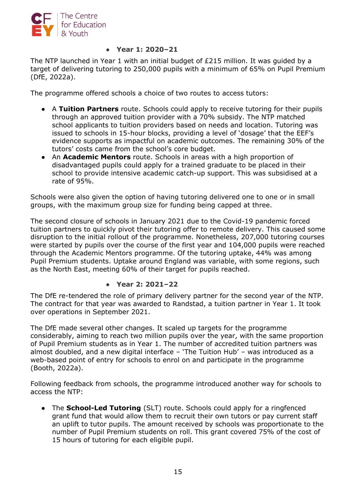

#### ● **Year 1: 2020–21**

The NTP launched in Year 1 with an initial budget of £215 million. It was guided by a target of delivering tutoring to 250,000 pupils with a minimum of 65% on Pupil Premium (DfE, 2022a).

The programme offered schools a choice of two routes to access tutors:

- A **Tuition Partners** route. Schools could apply to receive tutoring for their pupils through an approved tuition provider with a 70% subsidy. The NTP matched school applicants to tuition providers based on needs and location. Tutoring was issued to schools in 15-hour blocks, providing a level of 'dosage' that the EEF's evidence supports as impactful on academic outcomes. The remaining 30% of the tutors' costs came from the school's core budget.
- An **Academic Mentors** route. Schools in areas with a high proportion of disadvantaged pupils could apply for a trained graduate to be placed in their school to provide intensive academic catch-up support. This was subsidised at a rate of 95%.

Schools were also given the option of having tutoring delivered one to one or in small groups, with the maximum group size for funding being capped at three.

The second closure of schools in January 2021 due to the Covid-19 pandemic forced tuition partners to quickly pivot their tutoring offer to remote delivery. This caused some disruption to the initial rollout of the programme. Nonetheless, 207,000 tutoring courses were started by pupils over the course of the first year and 104,000 pupils were reached through the Academic Mentors programme. Of the tutoring uptake, 44% was among Pupil Premium students. Uptake around England was variable, with some regions, such as the North East, meeting 60% of their target for pupils reached.

#### ● **Year 2: 2021–22**

The DfE re-tendered the role of primary delivery partner for the second year of the NTP. The contract for that year was awarded to Randstad, a tuition partner in Year 1. It took over operations in September 2021.

The DfE made several other changes. It scaled up targets for the programme considerably, aiming to reach two million pupils over the year, with the same proportion of Pupil Premium students as in Year 1. The number of accredited tuition partners was almost doubled, and a new digital interface – 'The Tuition Hub' – was introduced as a web-based point of entry for schools to enrol on and participate in the programme (Booth, 2022a).

Following feedback from schools, the programme introduced another way for schools to access the NTP:

● The **School-Led Tutoring** (SLT) route. Schools could apply for a ringfenced grant fund that would allow them to recruit their own tutors or pay current staff an uplift to tutor pupils. The amount received by schools was proportionate to the number of Pupil Premium students on roll. This grant covered 75% of the cost of 15 hours of tutoring for each eligible pupil.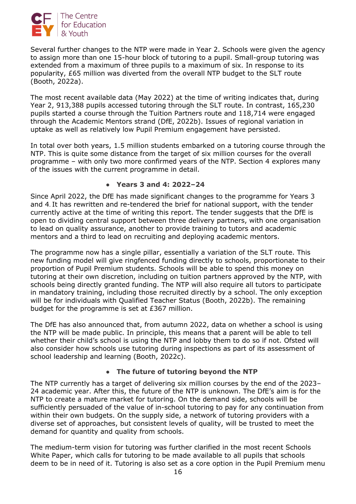

Several further changes to the NTP were made in Year 2. Schools were given the agency to assign more than one 15-hour block of tutoring to a pupil. Small-group tutoring was extended from a maximum of three pupils to a maximum of six. In response to its popularity, £65 million was diverted from the overall NTP budget to the SLT route (Booth, 2022a).

The most recent available data (May 2022) at the time of writing indicates that, during Year 2, 913,388 pupils accessed tutoring through the SLT route. In contrast, 165,230 pupils started a course through the Tuition Partners route and 118,714 were engaged through the Academic Mentors strand (DfE, 2022b). Issues of regional variation in uptake as well as relatively low Pupil Premium engagement have persisted.

In total over both years, 1.5 million students embarked on a tutoring course through the NTP. This is quite some distance from the target of six million courses for the overall programme – with only two more confirmed years of the NTP. Section 4 explores many of the issues with the current programme in detail.

## ● **Years 3 and 4: 2022–24**

Since April 2022, the DfE has made significant changes to the programme for Years 3 and 4. It has rewritten and re-tendered the brief for national support, with the tender currently active at the time of writing this report. The tender suggests that the DfE is open to dividing central support between three delivery partners, with one organisation to lead on quality assurance, another to provide training to tutors and academic mentors and a third to lead on recruiting and deploying academic mentors.

The programme now has a single pillar, essentially a variation of the SLT route. This new funding model will give ringfenced funding directly to schools, proportionate to their proportion of Pupil Premium students. Schools will be able to spend this money on tutoring at their own discretion, including on tuition partners approved by the NTP, with schools being directly granted funding. The NTP will also require all tutors to participate in mandatory training, including those recruited directly by a school. The only exception will be for individuals with Qualified Teacher Status (Booth, 2022b). The remaining budget for the programme is set at £367 million.

The DfE has also announced that, from autumn 2022, data on whether a school is using the NTP will be made public. In principle, this means that a parent will be able to tell whether their child's school is using the NTP and lobby them to do so if not. Ofsted will also consider how schools use tutoring during inspections as part of its assessment of school leadership and learning (Booth, 2022c).

### ● **The future of tutoring beyond the NTP**

The NTP currently has a target of delivering six million courses by the end of the 2023– 24 academic year. After this, the future of the NTP is unknown. The DfE's aim is for the NTP to create a mature market for tutoring. On the demand side, schools will be sufficiently persuaded of the value of in-school tutoring to pay for any continuation from within their own budgets. On the supply side, a network of tutoring providers with a diverse set of approaches, but consistent levels of quality, will be trusted to meet the demand for quantity and quality from schools.

The medium-term vision for tutoring was further clarified in the most recent Schools White Paper, which calls for tutoring to be made available to all pupils that schools deem to be in need of it. Tutoring is also set as a core option in the Pupil Premium menu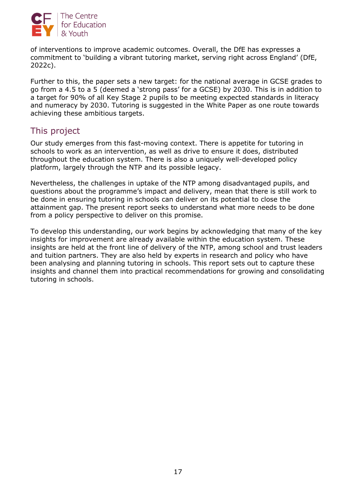

of interventions to improve academic outcomes. Overall, the DfE has expresses a commitment to 'building a vibrant tutoring market, serving right across England' (DfE, 2022c).

Further to this, the paper sets a new target: for the national average in GCSE grades to go from a 4.5 to a 5 (deemed a 'strong pass' for a GCSE) by 2030. This is in addition to a target for 90% of all Key Stage 2 pupils to be meeting expected standards in literacy and numeracy by 2030. Tutoring is suggested in the White Paper as one route towards achieving these ambitious targets.

## This project

Our study emerges from this fast-moving context. There is appetite for tutoring in schools to work as an intervention, as well as drive to ensure it does, distributed throughout the education system. There is also a uniquely well-developed policy platform, largely through the NTP and its possible legacy.

Nevertheless, the challenges in uptake of the NTP among disadvantaged pupils, and questions about the programme's impact and delivery, mean that there is still work to be done in ensuring tutoring in schools can deliver on its potential to close the attainment gap. The present report seeks to understand what more needs to be done from a policy perspective to deliver on this promise.

To develop this understanding, our work begins by acknowledging that many of the key insights for improvement are already available within the education system. These insights are held at the front line of delivery of the NTP, among school and trust leaders and tuition partners. They are also held by experts in research and policy who have been analysing and planning tutoring in schools. This report sets out to capture these insights and channel them into practical recommendations for growing and consolidating tutoring in schools.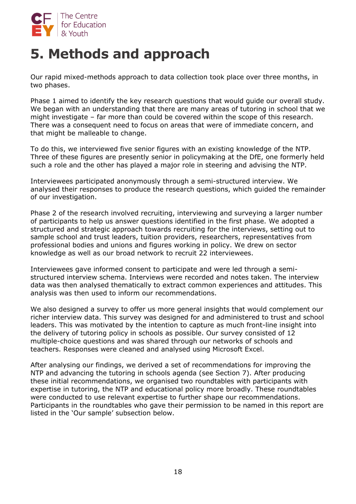

# **5. Methods and approach**

Our rapid mixed-methods approach to data collection took place over three months, in two phases.

Phase 1 aimed to identify the key research questions that would guide our overall study. We began with an understanding that there are many areas of tutoring in school that we might investigate – far more than could be covered within the scope of this research. There was a consequent need to focus on areas that were of immediate concern, and that might be malleable to change.

To do this, we interviewed five senior figures with an existing knowledge of the NTP. Three of these figures are presently senior in policymaking at the DfE, one formerly held such a role and the other has played a major role in steering and advising the NTP.

Interviewees participated anonymously through a semi-structured interview. We analysed their responses to produce the research questions, which guided the remainder of our investigation.

Phase 2 of the research involved recruiting, interviewing and surveying a larger number of participants to help us answer questions identified in the first phase. We adopted a structured and strategic approach towards recruiting for the interviews, setting out to sample school and trust leaders, tuition providers, researchers, representatives from professional bodies and unions and figures working in policy. We drew on sector knowledge as well as our broad network to recruit 22 interviewees.

Interviewees gave informed consent to participate and were led through a semistructured interview schema. Interviews were recorded and notes taken. The interview data was then analysed thematically to extract common experiences and attitudes. This analysis was then used to inform our recommendations.

We also designed a survey to offer us more general insights that would complement our richer interview data. This survey was designed for and administered to trust and school leaders. This was motivated by the intention to capture as much front-line insight into the delivery of tutoring policy in schools as possible. Our survey consisted of 12 multiple-choice questions and was shared through our networks of schools and teachers. Responses were cleaned and analysed using Microsoft Excel.

After analysing our findings, we derived a set of recommendations for improving the NTP and advancing the tutoring in schools agenda (see Section 7). After producing these initial recommendations, we organised two roundtables with participants with expertise in tutoring, the NTP and educational policy more broadly. These roundtables were conducted to use relevant expertise to further shape our recommendations. Participants in the roundtables who gave their permission to be named in this report are listed in the 'Our sample' subsection below.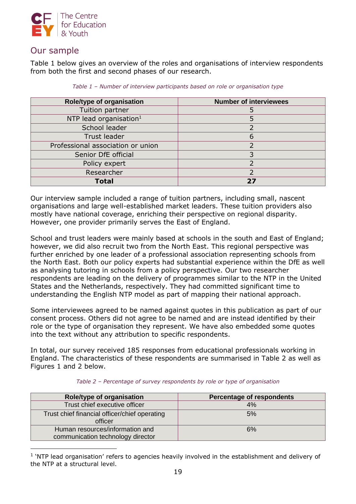

## Our sample

Table 1 below gives an overview of the roles and organisations of interview respondents from both the first and second phases of our research.

| Role/type of organisation          | <b>Number of interviewees</b> |
|------------------------------------|-------------------------------|
| Tuition partner                    |                               |
| NTP lead organisation <sup>1</sup> |                               |
| School leader                      |                               |
| <b>Trust leader</b>                |                               |
| Professional association or union  |                               |
| Senior DfE official                |                               |
| Policy expert                      |                               |
| Researcher                         |                               |
| Total                              | 27                            |

*Table 1 – Number of interview participants based on role or organisation type*

Our interview sample included a range of tuition partners, including small, nascent organisations and large well-established market leaders. These tuition providers also mostly have national coverage, enriching their perspective on regional disparity. However, one provider primarily serves the East of England.

School and trust leaders were mainly based at schools in the south and East of England; however, we did also recruit two from the North East. This regional perspective was further enriched by one leader of a professional association representing schools from the North East. Both our policy experts had substantial experience within the DfE as well as analysing tutoring in schools from a policy perspective. Our two researcher respondents are leading on the delivery of programmes similar to the NTP in the United States and the Netherlands, respectively. They had committed significant time to understanding the English NTP model as part of mapping their national approach.

Some interviewees agreed to be named against quotes in this publication as part of our consent process. Others did not agree to be named and are instead identified by their role or the type of organisation they represent. We have also embedded some quotes into the text without any attribution to specific respondents.

In total, our survey received 185 responses from educational professionals working in England. The characteristics of these respondents are summarised in Table 2 as well as Figures 1 and 2 below.

| Role/type of organisation                                            | Percentage of respondents |
|----------------------------------------------------------------------|---------------------------|
| Trust chief executive officer                                        | 4%                        |
| Trust chief financial officer/chief operating<br>officer             | 5%                        |
| Human resources/information and<br>communication technology director | 6%                        |

*Table 2 – Percentage of survey respondents by role or type of organisation*

<sup>1</sup> 'NTP lead organisation' refers to agencies heavily involved in the establishment and delivery of the NTP at a structural level.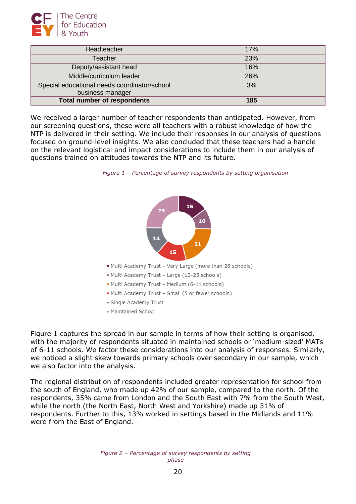

| Headteacher                                  | 17% |
|----------------------------------------------|-----|
| Teacher                                      | 23% |
| Deputy/assistant head                        | 16% |
| Middle/curriculum leader                     | 26% |
| Special educational needs coordinator/school | 3%  |
| business manager                             |     |
| <b>Total number of respondents</b>           | 185 |

We received a larger number of teacher respondents than anticipated. However, from our screening questions, these were all teachers with a robust knowledge of how the NTP is delivered in their setting. We include their responses in our analysis of questions focused on ground-level insights. We also concluded that these teachers had a handle on the relevant logistical and impact considerations to include them in our analysis of questions trained on attitudes towards the NTP and its future.





Figure 1 captures the spread in our sample in terms of how their setting is organised, with the majority of respondents situated in maintained schools or 'medium-sized' MATs of 6-11 schools. We factor these considerations into our analysis of responses. Similarly, we noticed a slight skew towards primary schools over secondary in our sample, which we also factor into the analysis.

The regional distribution of respondents included greater representation for school from the south of England, who made up 42% of our sample, compared to the north. Of the respondents, 35% came from London and the South East with 7% from the South West, while the north (the North East, North West and Yorkshire) made up 31% of respondents. Further to this, 13% worked in settings based in the Midlands and 11% were from the East of England.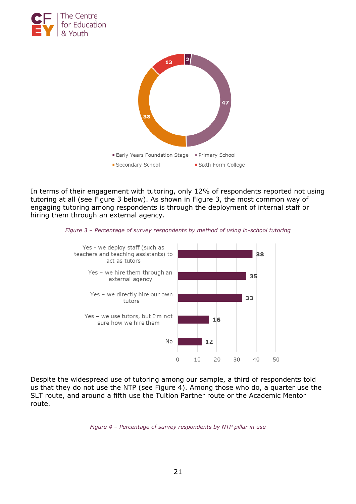



In terms of their engagement with tutoring, only 12% of respondents reported not using tutoring at all (see Figure 3 below). As shown in Figure 3, the most common way of engaging tutoring among respondents is through the deployment of internal staff or hiring them through an external agency.





Despite the widespread use of tutoring among our sample, a third of respondents told us that they do not use the NTP (see Figure 4). Among those who do, a quarter use the SLT route, and around a fifth use the Tuition Partner route or the Academic Mentor route.

*Figure 4 – Percentage of survey respondents by NTP pillar in use*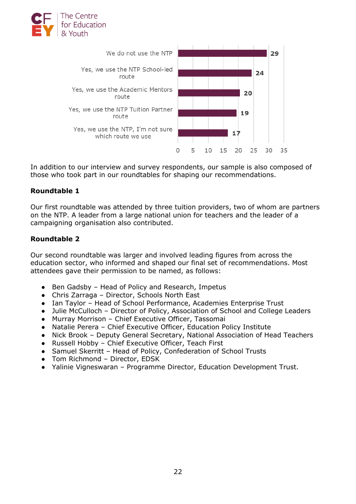



In addition to our interview and survey respondents, our sample is also composed of those who took part in our roundtables for shaping our recommendations.

## **Roundtable 1**

Our first roundtable was attended by three tuition providers, two of whom are partners on the NTP. A leader from a large national union for teachers and the leader of a campaigning organisation also contributed.

## **Roundtable 2**

Our second roundtable was larger and involved leading figures from across the education sector, who informed and shaped our final set of recommendations. Most attendees gave their permission to be named, as follows:

- Ben Gadsby Head of Policy and Research, Impetus
- Chris Zarraga Director, Schools North East
- Ian Taylor Head of School Performance, Academies Enterprise Trust
- Julie McCulloch Director of Policy, Association of School and College Leaders
- Murray Morrison Chief Executive Officer, Tassomai
- Natalie Perera Chief Executive Officer, Education Policy Institute
- Nick Brook Deputy General Secretary, National Association of Head Teachers
- Russell Hobby Chief Executive Officer, Teach First
- Samuel Skerritt Head of Policy, Confederation of School Trusts
- Tom Richmond Director, EDSK
- Yalinie Vigneswaran Programme Director, Education Development Trust.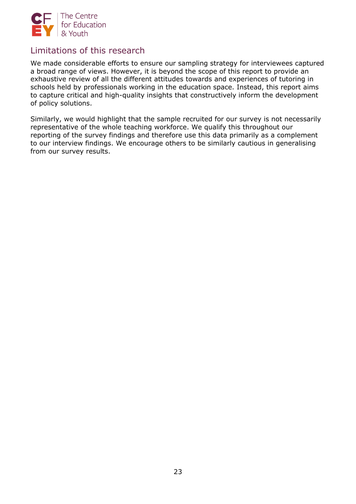

## Limitations of this research

We made considerable efforts to ensure our sampling strategy for interviewees captured a broad range of views. However, it is beyond the scope of this report to provide an exhaustive review of all the different attitudes towards and experiences of tutoring in schools held by professionals working in the education space. Instead, this report aims to capture critical and high-quality insights that constructively inform the development of policy solutions.

Similarly, we would highlight that the sample recruited for our survey is not necessarily representative of the whole teaching workforce. We qualify this throughout our reporting of the survey findings and therefore use this data primarily as a complement to our interview findings. We encourage others to be similarly cautious in generalising from our survey results.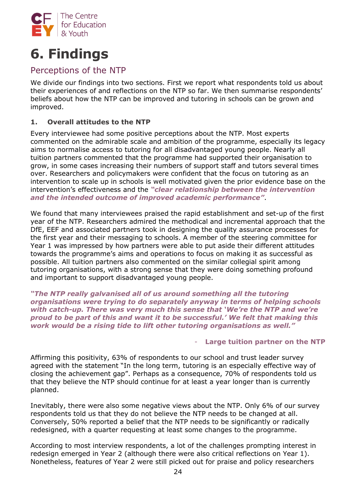

# **6. Findings**

## Perceptions of the NTP

We divide our findings into two sections. First we report what respondents told us about their experiences of and reflections on the NTP so far. We then summarise respondents' beliefs about how the NTP can be improved and tutoring in schools can be grown and improved.

## **1. Overall attitudes to the NTP**

Every interviewee had some positive perceptions about the NTP. Most experts commented on the admirable scale and ambition of the programme, especially its legacy aims to normalise access to tutoring for all disadvantaged young people. Nearly all tuition partners commented that the programme had supported their organisation to grow, in some cases increasing their numbers of support staff and tutors several times over. Researchers and policymakers were confident that the focus on tutoring as an intervention to scale up in schools is well motivated given the prior evidence base on the intervention's effectiveness and the *"clear relationship between the intervention and the intended outcome of improved academic performance"*.

We found that many interviewees praised the rapid establishment and set-up of the first year of the NTP. Researchers admired the methodical and incremental approach that the DfE, EEF and associated partners took in designing the quality assurance processes for the first year and their messaging to schools. A member of the steering committee for Year 1 was impressed by how partners were able to put aside their different attitudes towards the programme's aims and operations to focus on making it as successful as possible. All tuition partners also commented on the similar collegial spirit among tutoring organisations, with a strong sense that they were doing something profound and important to support disadvantaged young people.

*"The NTP really galvanised all of us around something all the tutoring organisations were trying to do separately anyway in terms of helping schools with catch-up. There was very much this sense that 'We're the NTP and we're proud to be part of this and want it to be successful.' We felt that making this work would be a rising tide to lift other tutoring organisations as well."*

### - **Large tuition partner on the NTP**

Affirming this positivity, 63% of respondents to our school and trust leader survey agreed with the statement "In the long term, tutoring is an especially effective way of closing the achievement gap". Perhaps as a consequence, 70% of respondents told us that they believe the NTP should continue for at least a year longer than is currently planned.

Inevitably, there were also some negative views about the NTP. Only 6% of our survey respondents told us that they do not believe the NTP needs to be changed at all. Conversely, 50% reported a belief that the NTP needs to be significantly or radically redesigned, with a quarter requesting at least some changes to the programme.

According to most interview respondents, a lot of the challenges prompting interest in redesign emerged in Year 2 (although there were also critical reflections on Year 1). Nonetheless, features of Year 2 were still picked out for praise and policy researchers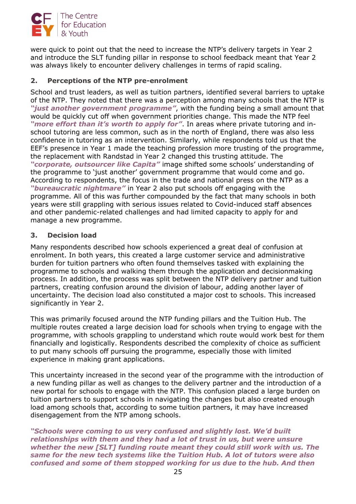

were quick to point out that the need to increase the NTP's delivery targets in Year 2 and introduce the SLT funding pillar in response to school feedback meant that Year 2 was always likely to encounter delivery challenges in terms of rapid scaling.

## **2. Perceptions of the NTP pre-enrolment**

School and trust leaders, as well as tuition partners, identified several barriers to uptake of the NTP. They noted that there was a perception among many schools that the NTP is *"just another government programme"*, with the funding being a small amount that would be quickly cut off when government priorities change. This made the NTP feel *"more effort than it's worth to apply for"*. In areas where private tutoring and inschool tutoring are less common, such as in the north of England, there was also less confidence in tutoring as an intervention. Similarly, while respondents told us that the EEF's presence in Year 1 made the teaching profession more trusting of the programme, the replacement with Randstad in Year 2 changed this trusting attitude. The *"corporate, outsourcer like Capita"* image shifted some schools' understanding of the programme to 'just another' government programme that would come and go. According to respondents, the focus in the trade and national press on the NTP as a *"bureaucratic nightmare"* in Year 2 also put schools off engaging with the programme. All of this was further compounded by the fact that many schools in both years were still grappling with serious issues related to Covid-induced staff absences and other pandemic-related challenges and had limited capacity to apply for and manage a new programme.

#### **3. Decision load**

Many respondents described how schools experienced a great deal of confusion at enrolment. In both years, this created a large customer service and administrative burden for tuition partners who often found themselves tasked with explaining the programme to schools and walking them through the application and decisionmaking process. In addition, the process was split between the NTP delivery partner and tuition partners, creating confusion around the division of labour, adding another layer of uncertainty. The decision load also constituted a major cost to schools. This increased significantly in Year 2.

This was primarily focused around the NTP funding pillars and the Tuition Hub. The multiple routes created a large decision load for schools when trying to engage with the programme, with schools grappling to understand which route would work best for them financially and logistically. Respondents described the complexity of choice as sufficient to put many schools off pursuing the programme, especially those with limited experience in making grant applications.

This uncertainty increased in the second year of the programme with the introduction of a new funding pillar as well as changes to the delivery partner and the introduction of a new portal for schools to engage with the NTP. This confusion placed a large burden on tuition partners to support schools in navigating the changes but also created enough load among schools that, according to some tuition partners, it may have increased disengagement from the NTP among schools.

*"Schools were coming to us very confused and slightly lost. We'd built relationships with them and they had a lot of trust in us, but were unsure whether the new [SLT] funding route meant they could still work with us. The same for the new tech systems like the Tuition Hub. A lot of tutors were also confused and some of them stopped working for us due to the hub. And then*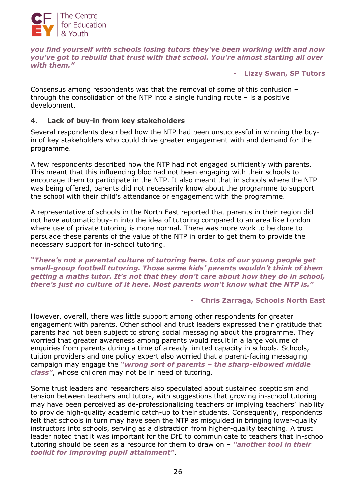

*you find yourself with schools losing tutors they've been working with and now you've got to rebuild that trust with that school. You're almost starting all over with them."*

- **Lizzy Swan, SP Tutors**

Consensus among respondents was that the removal of some of this confusion – through the consolidation of the NTP into a single funding route  $-$  is a positive development.

### **4. Lack of buy-in from key stakeholders**

Several respondents described how the NTP had been unsuccessful in winning the buyin of key stakeholders who could drive greater engagement with and demand for the programme.

A few respondents described how the NTP had not engaged sufficiently with parents. This meant that this influencing bloc had not been engaging with their schools to encourage them to participate in the NTP. It also meant that in schools where the NTP was being offered, parents did not necessarily know about the programme to support the school with their child's attendance or engagement with the programme.

A representative of schools in the North East reported that parents in their region did not have automatic buy-in into the idea of tutoring compared to an area like London where use of private tutoring is more normal. There was more work to be done to persuade these parents of the value of the NTP in order to get them to provide the necessary support for in-school tutoring.

*"There's not a parental culture of tutoring here. Lots of our young people get small-group football tutoring. Those same kids' parents wouldn't think of them getting a maths tutor. It's not that they don't care about how they do in school, there's just no culture of it here. Most parents won't know what the NTP is."*

#### - **Chris Zarraga, Schools North East**

However, overall, there was little support among other respondents for greater engagement with parents. Other school and trust leaders expressed their gratitude that parents had not been subject to strong social messaging about the programme. They worried that greater awareness among parents would result in a large volume of enquiries from parents during a time of already limited capacity in schools. Schools, tuition providers and one policy expert also worried that a parent-facing messaging campaign may engage the *"wrong sort of parents – the sharp-elbowed middle class"*, whose children may not be in need of tutoring.

Some trust leaders and researchers also speculated about sustained scepticism and tension between teachers and tutors, with suggestions that growing in-school tutoring may have been perceived as de-professionalising teachers or implying teachers' inability to provide high-quality academic catch-up to their students. Consequently, respondents felt that schools in turn may have seen the NTP as misguided in bringing lower-quality instructors into schools, serving as a distraction from higher-quality teaching. A trust leader noted that it was important for the DfE to communicate to teachers that in-school tutoring should be seen as a resource for them to draw on – *"another tool in their toolkit for improving pupil attainment"*.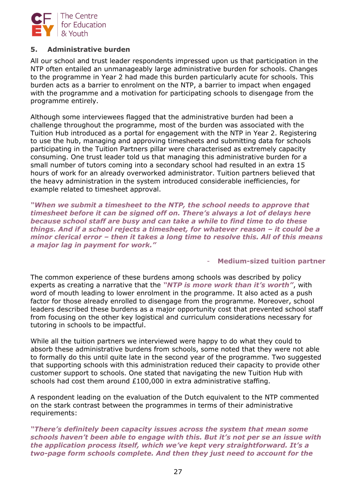

### **5. Administrative burden**

All our school and trust leader respondents impressed upon us that participation in the NTP often entailed an unmanageably large administrative burden for schools. Changes to the programme in Year 2 had made this burden particularly acute for schools. This burden acts as a barrier to enrolment on the NTP, a barrier to impact when engaged with the programme and a motivation for participating schools to disengage from the programme entirely.

Although some interviewees flagged that the administrative burden had been a challenge throughout the programme, most of the burden was associated with the Tuition Hub introduced as a portal for engagement with the NTP in Year 2. Registering to use the hub, managing and approving timesheets and submitting data for schools participating in the Tuition Partners pillar were characterised as extremely capacity consuming. One trust leader told us that managing this administrative burden for a small number of tutors coming into a secondary school had resulted in an extra 15 hours of work for an already overworked administrator. Tuition partners believed that the heavy administration in the system introduced considerable inefficiencies, for example related to timesheet approval.

*"When we submit a timesheet to the NTP, the school needs to approve that timesheet before it can be signed off on. There's always a lot of delays here because school staff are busy and can take a while to find time to do these things. And if a school rejects a timesheet, for whatever reason – it could be a minor clerical error – then it takes a long time to resolve this. All of this means a major lag in payment for work."*

#### - **Medium-sized tuition partner**

The common experience of these burdens among schools was described by policy experts as creating a narrative that the *"NTP is more work than it's worth"*, with word of mouth leading to lower enrolment in the programme. It also acted as a push factor for those already enrolled to disengage from the programme. Moreover, school leaders described these burdens as a major opportunity cost that prevented school staff from focusing on the other key logistical and curriculum considerations necessary for tutoring in schools to be impactful.

While all the tuition partners we interviewed were happy to do what they could to absorb these administrative burdens from schools, some noted that they were not able to formally do this until quite late in the second year of the programme. Two suggested that supporting schools with this administration reduced their capacity to provide other customer support to schools. One stated that navigating the new Tuition Hub with schools had cost them around £100,000 in extra administrative staffing.

A respondent leading on the evaluation of the Dutch equivalent to the NTP commented on the stark contrast between the programmes in terms of their administrative requirements:

*"There's definitely been capacity issues across the system that mean some schools haven't been able to engage with this. But it's not per se an issue with the application process itself, which we've kept very straightforward. It's a two-page form schools complete. And then they just need to account for the*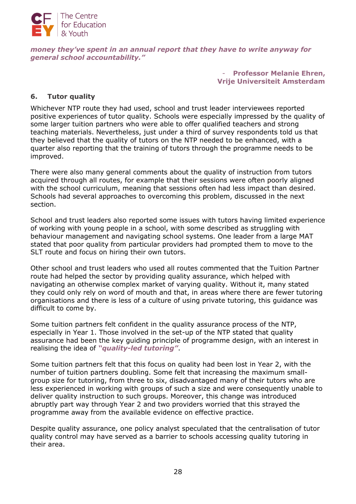

#### *money they've spent in an annual report that they have to write anyway for general school accountability."*

- **Professor Melanie Ehren, Vrije Universiteit Amsterdam**

### **6. Tutor quality**

Whichever NTP route they had used, school and trust leader interviewees reported positive experiences of tutor quality. Schools were especially impressed by the quality of some larger tuition partners who were able to offer qualified teachers and strong teaching materials. Nevertheless, just under a third of survey respondents told us that they believed that the quality of tutors on the NTP needed to be enhanced, with a quarter also reporting that the training of tutors through the programme needs to be improved.

There were also many general comments about the quality of instruction from tutors acquired through all routes, for example that their sessions were often poorly aligned with the school curriculum, meaning that sessions often had less impact than desired. Schools had several approaches to overcoming this problem, discussed in the next section.

School and trust leaders also reported some issues with tutors having limited experience of working with young people in a school, with some described as struggling with behaviour management and navigating school systems. One leader from a large MAT stated that poor quality from particular providers had prompted them to move to the SLT route and focus on hiring their own tutors.

Other school and trust leaders who used all routes commented that the Tuition Partner route had helped the sector by providing quality assurance, which helped with navigating an otherwise complex market of varying quality. Without it, many stated they could only rely on word of mouth and that, in areas where there are fewer tutoring organisations and there is less of a culture of using private tutoring, this guidance was difficult to come by.

Some tuition partners felt confident in the quality assurance process of the NTP, especially in Year 1. Those involved in the set-up of the NTP stated that quality assurance had been the key guiding principle of programme design, with an interest in realising the idea of *"quality-led tutoring"*.

Some tuition partners felt that this focus on quality had been lost in Year 2, with the number of tuition partners doubling. Some felt that increasing the maximum smallgroup size for tutoring, from three to six, disadvantaged many of their tutors who are less experienced in working with groups of such a size and were consequently unable to deliver quality instruction to such groups. Moreover, this change was introduced abruptly part way through Year 2 and two providers worried that this strayed the programme away from the available evidence on effective practice.

Despite quality assurance, one policy analyst speculated that the centralisation of tutor quality control may have served as a barrier to schools accessing quality tutoring in their area.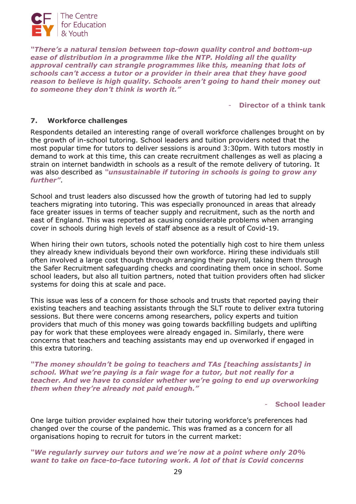

*"There's a natural tension between top-down quality control and bottom-up ease of distribution in a programme like the NTP. Holding all the quality approval centrally can strangle programmes like this, meaning that lots of schools can't access a tutor or a provider in their area that they have good reason to believe is high quality. Schools aren't going to hand their money out to someone they don't think is worth it."*

- **Director of a think tank**

#### **7. Workforce challenges**

Respondents detailed an interesting range of overall workforce challenges brought on by the growth of in-school tutoring. School leaders and tuition providers noted that the most popular time for tutors to deliver sessions is around 3:30pm. With tutors mostly in demand to work at this time, this can create recruitment challenges as well as placing a strain on internet bandwidth in schools as a result of the remote delivery of tutoring. It was also described as *"unsustainable if tutoring in schools is going to grow any further"*.

School and trust leaders also discussed how the growth of tutoring had led to supply teachers migrating into tutoring. This was especially pronounced in areas that already face greater issues in terms of teacher supply and recruitment, such as the north and east of England. This was reported as causing considerable problems when arranging cover in schools during high levels of staff absence as a result of Covid-19.

When hiring their own tutors, schools noted the potentially high cost to hire them unless they already knew individuals beyond their own workforce. Hiring these individuals still often involved a large cost though through arranging their payroll, taking them through the Safer Recruitment safeguarding checks and coordinating them once in school. Some school leaders, but also all tuition partners, noted that tuition providers often had slicker systems for doing this at scale and pace.

This issue was less of a concern for those schools and trusts that reported paying their existing teachers and teaching assistants through the SLT route to deliver extra tutoring sessions. But there were concerns among researchers, policy experts and tuition providers that much of this money was going towards backfilling budgets and uplifting pay for work that these employees were already engaged in. Similarly, there were concerns that teachers and teaching assistants may end up overworked if engaged in this extra tutoring.

*"The money shouldn't be going to teachers and TAs [teaching assistants] in school. What we're paying is a fair wage for a tutor, but not really for a teacher. And we have to consider whether we're going to end up overworking them when they're already not paid enough."*

- **School leader**

One large tuition provider explained how their tutoring workforce's preferences had changed over the course of the pandemic. This was framed as a concern for all organisations hoping to recruit for tutors in the current market:

#### *"We regularly survey our tutors and we're now at a point where only 20% want to take on face-to-face tutoring work. A lot of that is Covid concerns*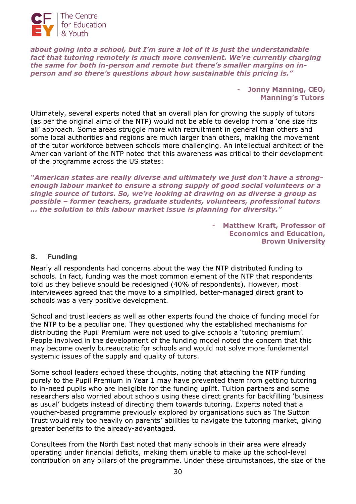

*about going into a school, but I'm sure a lot of it is just the understandable fact that tutoring remotely is much more convenient. We're currently charging the same for both in-person and remote but there's smaller margins on inperson and so there's questions about how sustainable this pricing is."*

> - **Jonny Manning, CEO, Manning's Tutors**

Ultimately, several experts noted that an overall plan for growing the supply of tutors (as per the original aims of the NTP) would not be able to develop from a 'one size fits all' approach. Some areas struggle more with recruitment in general than others and some local authorities and regions are much larger than others, making the movement of the tutor workforce between schools more challenging. An intellectual architect of the American variant of the NTP noted that this awareness was critical to their development of the programme across the US states:

*"American states are really diverse and ultimately we just don't have a strongenough labour market to ensure a strong supply of good social volunteers or a single source of tutors. So, we're looking at drawing on as diverse a group as possible – former teachers, graduate students, volunteers, professional tutors … the solution to this labour market issue is planning for diversity."*

> **Matthew Kraft, Professor of Economics and Education, Brown University**

### **8. Funding**

Nearly all respondents had concerns about the way the NTP distributed funding to schools. In fact, funding was the most common element of the NTP that respondents told us they believe should be redesigned (40% of respondents). However, most interviewees agreed that the move to a simplified, better-managed direct grant to schools was a very positive development.

School and trust leaders as well as other experts found the choice of funding model for the NTP to be a peculiar one. They questioned why the established mechanisms for distributing the Pupil Premium were not used to give schools a 'tutoring premium'. People involved in the development of the funding model noted the concern that this may become overly bureaucratic for schools and would not solve more fundamental systemic issues of the supply and quality of tutors.

Some school leaders echoed these thoughts, noting that attaching the NTP funding purely to the Pupil Premium in Year 1 may have prevented them from getting tutoring to in-need pupils who are ineligible for the funding uplift. Tuition partners and some researchers also worried about schools using these direct grants for backfilling 'business as usual' budgets instead of directing them towards tutoring. Experts noted that a voucher-based programme previously explored by organisations such as The Sutton Trust would rely too heavily on parents' abilities to navigate the tutoring market, giving greater benefits to the already-advantaged.

Consultees from the North East noted that many schools in their area were already operating under financial deficits, making them unable to make up the school-level contribution on any pillars of the programme. Under these circumstances, the size of the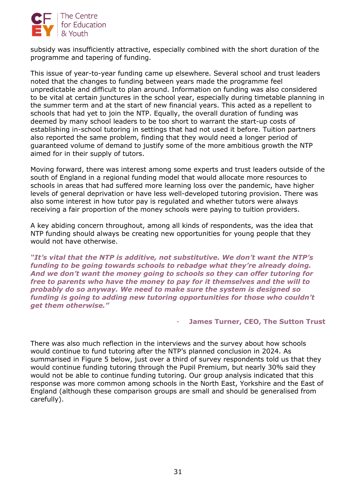

subsidy was insufficiently attractive, especially combined with the short duration of the programme and tapering of funding.

This issue of year-to-year funding came up elsewhere. Several school and trust leaders noted that the changes to funding between years made the programme feel unpredictable and difficult to plan around. Information on funding was also considered to be vital at certain junctures in the school year, especially during timetable planning in the summer term and at the start of new financial years. This acted as a repellent to schools that had yet to join the NTP. Equally, the overall duration of funding was deemed by many school leaders to be too short to warrant the start-up costs of establishing in-school tutoring in settings that had not used it before. Tuition partners also reported the same problem, finding that they would need a longer period of guaranteed volume of demand to justify some of the more ambitious growth the NTP aimed for in their supply of tutors.

Moving forward, there was interest among some experts and trust leaders outside of the south of England in a regional funding model that would allocate more resources to schools in areas that had suffered more learning loss over the pandemic, have higher levels of general deprivation or have less well-developed tutoring provision. There was also some interest in how tutor pay is regulated and whether tutors were always receiving a fair proportion of the money schools were paying to tuition providers.

A key abiding concern throughout, among all kinds of respondents, was the idea that NTP funding should always be creating new opportunities for young people that they would not have otherwise.

*"It's vital that the NTP is additive, not substitutive. We don't want the NTP's funding to be going towards schools to rebadge what they're already doing. And we don't want the money going to schools so they can offer tutoring for free to parents who have the money to pay for it themselves and the will to probably do so anyway. We need to make sure the system is designed so funding is going to adding new tutoring opportunities for those who couldn't get them otherwise."*

#### **James Turner, CEO, The Sutton Trust**

There was also much reflection in the interviews and the survey about how schools would continue to fund tutoring after the NTP's planned conclusion in 2024. As summarised in Figure 5 below, just over a third of survey respondents told us that they would continue funding tutoring through the Pupil Premium, but nearly 30% said they would not be able to continue funding tutoring. Our group analysis indicated that this response was more common among schools in the North East, Yorkshire and the East of England (although these comparison groups are small and should be generalised from carefully).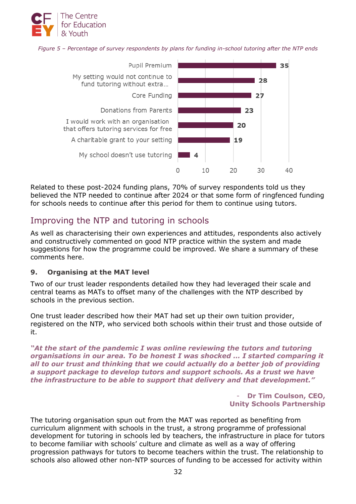

*Figure 5 – Percentage of survey respondents by plans for funding in-school tutoring after the NTP ends*



Related to these post-2024 funding plans, 70% of survey respondents told us they believed the NTP needed to continue after 2024 or that some form of ringfenced funding for schools needs to continue after this period for them to continue using tutors.

## Improving the NTP and tutoring in schools

As well as characterising their own experiences and attitudes, respondents also actively and constructively commented on good NTP practice within the system and made suggestions for how the programme could be improved. We share a summary of these comments here.

### **9. Organising at the MAT level**

Two of our trust leader respondents detailed how they had leveraged their scale and central teams as MATs to offset many of the challenges with the NTP described by schools in the previous section.

One trust leader described how their MAT had set up their own tuition provider, registered on the NTP, who serviced both schools within their trust and those outside of it.

*"At the start of the pandemic I was online reviewing the tutors and tutoring organisations in our area. To be honest I was shocked … I started comparing it all to our trust and thinking that we could actually do a better job of providing a support package to develop tutors and support schools. As a trust we have the infrastructure to be able to support that delivery and that development."* 

> Dr Tim Coulson, CEO, **Unity Schools Partnership**

The tutoring organisation spun out from the MAT was reported as benefiting from curriculum alignment with schools in the trust, a strong programme of professional development for tutoring in schools led by teachers, the infrastructure in place for tutors to become familiar with schools' culture and climate as well as a way of offering progression pathways for tutors to become teachers within the trust. The relationship to schools also allowed other non-NTP sources of funding to be accessed for activity within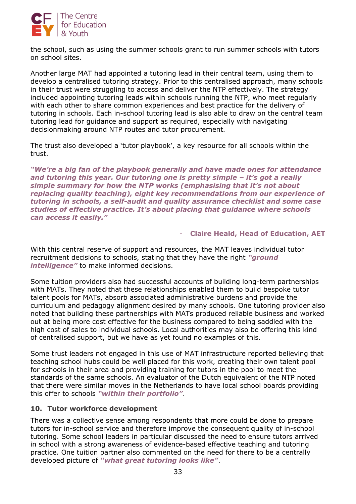

the school, such as using the summer schools grant to run summer schools with tutors on school sites.

Another large MAT had appointed a tutoring lead in their central team, using them to develop a centralised tutoring strategy. Prior to this centralised approach, many schools in their trust were struggling to access and deliver the NTP effectively. The strategy included appointing tutoring leads within schools running the NTP, who meet regularly with each other to share common experiences and best practice for the delivery of tutoring in schools. Each in-school tutoring lead is also able to draw on the central team tutoring lead for guidance and support as required, especially with navigating decisionmaking around NTP routes and tutor procurement.

The trust also developed a 'tutor playbook', a key resource for all schools within the trust.

*"We're a big fan of the playbook generally and have made ones for attendance and tutoring this year. Our tutoring one is pretty simple – it's got a really simple summary for how the NTP works (emphasising that it's not about replacing quality teaching), eight key recommendations from our experience of tutoring in schools, a self-audit and quality assurance checklist and some case studies of effective practice. It's about placing that guidance where schools can access it easily."*

## - **Claire Heald, Head of Education, AET**

With this central reserve of support and resources, the MAT leaves individual tutor recruitment decisions to schools, stating that they have the right *"ground intelligence"* to make informed decisions.

Some tuition providers also had successful accounts of building long-term partnerships with MATs. They noted that these relationships enabled them to build bespoke tutor talent pools for MATs, absorb associated administrative burdens and provide the curriculum and pedagogy alignment desired by many schools. One tutoring provider also noted that building these partnerships with MATs produced reliable business and worked out at being more cost effective for the business compared to being saddled with the high cost of sales to individual schools. Local authorities may also be offering this kind of centralised support, but we have as yet found no examples of this.

Some trust leaders not engaged in this use of MAT infrastructure reported believing that teaching school hubs could be well placed for this work, creating their own talent pool for schools in their area and providing training for tutors in the pool to meet the standards of the same schools. An evaluator of the Dutch equivalent of the NTP noted that there were similar moves in the Netherlands to have local school boards providing this offer to schools *"within their portfolio"*.

### **10. Tutor workforce development**

There was a collective sense among respondents that more could be done to prepare tutors for in-school service and therefore improve the consequent quality of in-school tutoring. Some school leaders in particular discussed the need to ensure tutors arrived in school with a strong awareness of evidence-based effective teaching and tutoring practice. One tuition partner also commented on the need for there to be a centrally developed picture of *"what great tutoring looks like"*.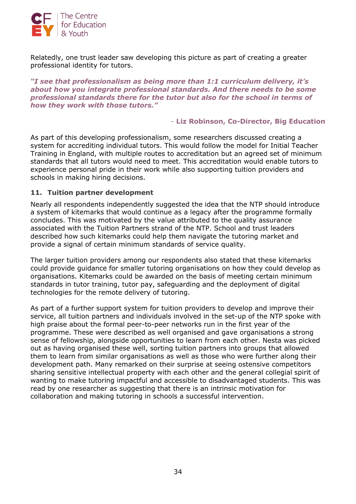

Relatedly, one trust leader saw developing this picture as part of creating a greater professional identity for tutors.

*"I see that professionalism as being more than 1:1 curriculum delivery, it's about how you integrate professional standards. And there needs to be some professional standards there for the tutor but also for the school in terms of how they work with those tutors."*

#### - **Liz Robinson, Co-Director, Big Education**

As part of this developing professionalism, some researchers discussed creating a system for accrediting individual tutors. This would follow the model for Initial Teacher Training in England, with multiple routes to accreditation but an agreed set of minimum standards that all tutors would need to meet. This accreditation would enable tutors to experience personal pride in their work while also supporting tuition providers and schools in making hiring decisions.

#### **11. Tuition partner development**

Nearly all respondents independently suggested the idea that the NTP should introduce a system of kitemarks that would continue as a legacy after the programme formally concludes. This was motivated by the value attributed to the quality assurance associated with the Tuition Partners strand of the NTP. School and trust leaders described how such kitemarks could help them navigate the tutoring market and provide a signal of certain minimum standards of service quality.

The larger tuition providers among our respondents also stated that these kitemarks could provide guidance for smaller tutoring organisations on how they could develop as organisations. Kitemarks could be awarded on the basis of meeting certain minimum standards in tutor training, tutor pay, safeguarding and the deployment of digital technologies for the remote delivery of tutoring.

As part of a further support system for tuition providers to develop and improve their service, all tuition partners and individuals involved in the set-up of the NTP spoke with high praise about the formal peer-to-peer networks run in the first year of the programme. These were described as well organised and gave organisations a strong sense of fellowship, alongside opportunities to learn from each other. Nesta was picked out as having organised these well, sorting tuition partners into groups that allowed them to learn from similar organisations as well as those who were further along their development path. Many remarked on their surprise at seeing ostensive competitors sharing sensitive intellectual property with each other and the general collegial spirit of wanting to make tutoring impactful and accessible to disadvantaged students. This was read by one researcher as suggesting that there is an intrinsic motivation for collaboration and making tutoring in schools a successful intervention.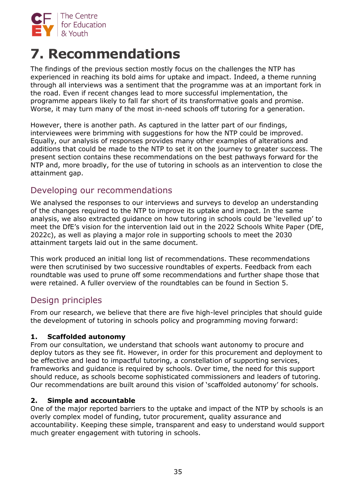

# **7. Recommendations**

The findings of the previous section mostly focus on the challenges the NTP has experienced in reaching its bold aims for uptake and impact. Indeed, a theme running through all interviews was a sentiment that the programme was at an important fork in the road. Even if recent changes lead to more successful implementation, the programme appears likely to fall far short of its transformative goals and promise. Worse, it may turn many of the most in-need schools off tutoring for a generation.

However, there is another path. As captured in the latter part of our findings, interviewees were brimming with suggestions for how the NTP could be improved. Equally, our analysis of responses provides many other examples of alterations and additions that could be made to the NTP to set it on the journey to greater success. The present section contains these recommendations on the best pathways forward for the NTP and, more broadly, for the use of tutoring in schools as an intervention to close the attainment gap.

## Developing our recommendations

We analysed the responses to our interviews and surveys to develop an understanding of the changes required to the NTP to improve its uptake and impact. In the same analysis, we also extracted guidance on how tutoring in schools could be 'levelled up' to meet the DfE's vision for the intervention laid out in the 2022 Schools White Paper (DfE, 2022c), as well as playing a major role in supporting schools to meet the 2030 attainment targets laid out in the same document.

This work produced an initial long list of recommendations. These recommendations were then scrutinised by two successive roundtables of experts. Feedback from each roundtable was used to prune off some recommendations and further shape those that were retained. A fuller overview of the roundtables can be found in Section 5.

## Design principles

From our research, we believe that there are five high-level principles that should guide the development of tutoring in schools policy and programming moving forward:

## **1. Scaffolded autonomy**

From our consultation, we understand that schools want autonomy to procure and deploy tutors as they see fit. However, in order for this procurement and deployment to be effective and lead to impactful tutoring, a constellation of supporting services, frameworks and guidance is required by schools. Over time, the need for this support should reduce, as schools become sophisticated commissioners and leaders of tutoring. Our recommendations are built around this vision of 'scaffolded autonomy' for schools.

### **2. Simple and accountable**

One of the major reported barriers to the uptake and impact of the NTP by schools is an overly complex model of funding, tutor procurement, quality assurance and accountability. Keeping these simple, transparent and easy to understand would support much greater engagement with tutoring in schools.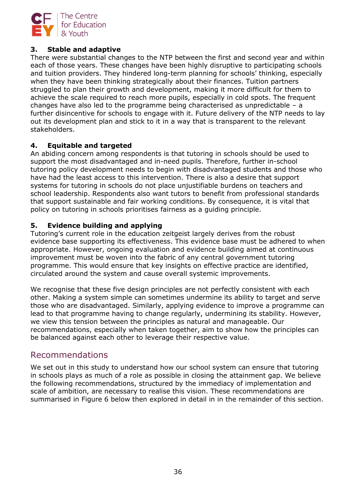

## **3. Stable and adaptive**

There were substantial changes to the NTP between the first and second year and within each of those years. These changes have been highly disruptive to participating schools and tuition providers. They hindered long-term planning for schools' thinking, especially when they have been thinking strategically about their finances. Tuition partners struggled to plan their growth and development, making it more difficult for them to achieve the scale required to reach more pupils, especially in cold spots. The frequent changes have also led to the programme being characterised as unpredictable – a further disincentive for schools to engage with it. Future delivery of the NTP needs to lay out its development plan and stick to it in a way that is transparent to the relevant stakeholders.

### **4. Equitable and targeted**

An abiding concern among respondents is that tutoring in schools should be used to support the most disadvantaged and in-need pupils. Therefore, further in-school tutoring policy development needs to begin with disadvantaged students and those who have had the least access to this intervention. There is also a desire that support systems for tutoring in schools do not place unjustifiable burdens on teachers and school leadership. Respondents also want tutors to benefit from professional standards that support sustainable and fair working conditions. By consequence, it is vital that policy on tutoring in schools prioritises fairness as a guiding principle.

## **5. Evidence building and applying**

Tutoring's current role in the education zeitgeist largely derives from the robust evidence base supporting its effectiveness. This evidence base must be adhered to when appropriate. However, ongoing evaluation and evidence building aimed at continuous improvement must be woven into the fabric of any central government tutoring programme. This would ensure that key insights on effective practice are identified, circulated around the system and cause overall systemic improvements.

We recognise that these five design principles are not perfectly consistent with each other. Making a system simple can sometimes undermine its ability to target and serve those who are disadvantaged. Similarly, applying evidence to improve a programme can lead to that programme having to change regularly, undermining its stability. However, we view this tension between the principles as natural and manageable. Our recommendations, especially when taken together, aim to show how the principles can be balanced against each other to leverage their respective value.

## Recommendations

We set out in this study to understand how our school system can ensure that tutoring in schools plays as much of a role as possible in closing the attainment gap. We believe the following recommendations, structured by the immediacy of implementation and scale of ambition, are necessary to realise this vision. These recommendations are summarised in Figure 6 below then explored in detail in in the remainder of this section.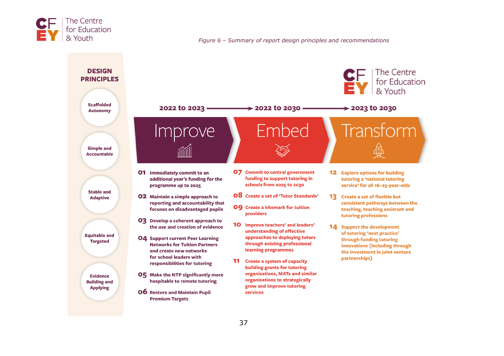

*Figure 6 – Summary of report design principles and recommendations*

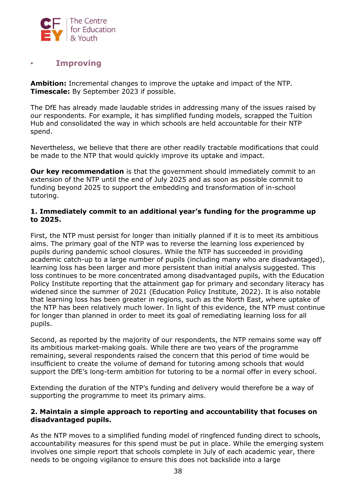

## ▪ **Improving**

**Ambition:** Incremental changes to improve the uptake and impact of the NTP. **Timescale:** By September 2023 if possible.

The DfE has already made laudable strides in addressing many of the issues raised by our respondents. For example, it has simplified funding models, scrapped the Tuition Hub and consolidated the way in which schools are held accountable for their NTP spend.

Nevertheless, we believe that there are other readily tractable modifications that could be made to the NTP that would quickly improve its uptake and impact.

**Our key recommendation** is that the government should immediately commit to an extension of the NTP until the end of July 2025 and as soon as possible commit to funding beyond 2025 to support the embedding and transformation of in-school tutoring.

#### **1. Immediately commit to an additional year's funding for the programme up to 2025.**

First, the NTP must persist for longer than initially planned if it is to meet its ambitious aims. The primary goal of the NTP was to reverse the learning loss experienced by pupils during pandemic school closures. While the NTP has succeeded in providing academic catch-up to a large number of pupils (including many who are disadvantaged), learning loss has been larger and more persistent than initial analysis suggested. This loss continues to be more concentrated among disadvantaged pupils, with the Education Policy Institute reporting that the attainment gap for primary and secondary literacy has widened since the summer of 2021 (Education Policy Institute, 2022). It is also notable that learning loss has been greater in regions, such as the North East, where uptake of the NTP has been relatively much lower. In light of this evidence, the NTP must continue for longer than planned in order to meet its goal of remediating learning loss for all pupils.

Second, as reported by the majority of our respondents, the NTP remains some way off its ambitious market-making goals. While there are two years of the programme remaining, several respondents raised the concern that this period of time would be insufficient to create the volume of demand for tutoring among schools that would support the DfE's long-term ambition for tutoring to be a normal offer in every school.

Extending the duration of the NTP's funding and delivery would therefore be a way of supporting the programme to meet its primary aims.

#### **2. Maintain a simple approach to reporting and accountability that focuses on disadvantaged pupils.**

As the NTP moves to a simplified funding model of ringfenced funding direct to schools, accountability measures for this spend must be put in place. While the emerging system involves one simple report that schools complete in July of each academic year, there needs to be ongoing vigilance to ensure this does not backslide into a large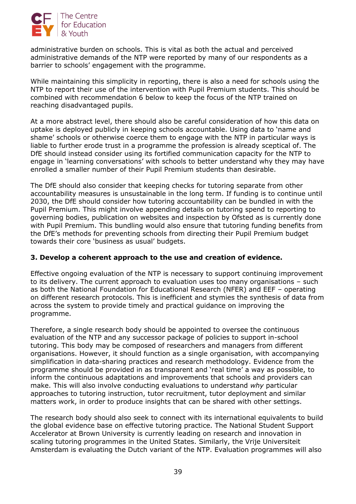

administrative burden on schools. This is vital as both the actual and perceived administrative demands of the NTP were reported by many of our respondents as a barrier to schools' engagement with the programme.

While maintaining this simplicity in reporting, there is also a need for schools using the NTP to report their use of the intervention with Pupil Premium students. This should be combined with recommendation 6 below to keep the focus of the NTP trained on reaching disadvantaged pupils.

At a more abstract level, there should also be careful consideration of how this data on uptake is deployed publicly in keeping schools accountable. Using data to 'name and shame' schools or otherwise coerce them to engage with the NTP in particular ways is liable to further erode trust in a programme the profession is already sceptical of. The DfE should instead consider using its fortified communication capacity for the NTP to engage in 'learning conversations' with schools to better understand why they may have enrolled a smaller number of their Pupil Premium students than desirable.

The DfE should also consider that keeping checks for tutoring separate from other accountability measures is unsustainable in the long term. If funding is to continue until 2030, the DfE should consider how tutoring accountability can be bundled in with the Pupil Premium. This might involve appending details on tutoring spend to reporting to governing bodies, publication on websites and inspection by Ofsted as is currently done with Pupil Premium. This bundling would also ensure that tutoring funding benefits from the DfE's methods for preventing schools from directing their Pupil Premium budget towards their core 'business as usual' budgets.

### **3. Develop a coherent approach to the use and creation of evidence.**

Effective ongoing evaluation of the NTP is necessary to support continuing improvement to its delivery. The current approach to evaluation uses too many organisations – such as both the National Foundation for Educational Research (NFER) and EEF – operating on different research protocols. This is inefficient and stymies the synthesis of data from across the system to provide timely and practical guidance on improving the programme.

Therefore, a single research body should be appointed to oversee the continuous evaluation of the NTP and any successor package of policies to support in-school tutoring. This body may be composed of researchers and managers from different organisations. However, it should function as a single organisation, with accompanying simplification in data-sharing practices and research methodology. Evidence from the programme should be provided in as transparent and 'real time' a way as possible, to inform the continuous adaptations and improvements that schools and providers can make. This will also involve conducting evaluations to understand *why* particular approaches to tutoring instruction, tutor recruitment, tutor deployment and similar matters work, in order to produce insights that can be shared with other settings.

The research body should also seek to connect with its international equivalents to build the global evidence base on effective tutoring practice. The National Student Support Accelerator at Brown University is currently leading on research and innovation in scaling tutoring programmes in the United States. Similarly, the Vrije Universiteit Amsterdam is evaluating the Dutch variant of the NTP. Evaluation programmes will also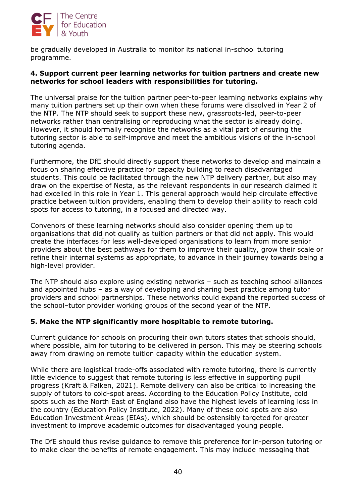

be gradually developed in Australia to monitor its national in-school tutoring programme.

### **4. Support current peer learning networks for tuition partners and create new networks for school leaders with responsibilities for tutoring.**

The universal praise for the tuition partner peer-to-peer learning networks explains why many tuition partners set up their own when these forums were dissolved in Year 2 of the NTP. The NTP should seek to support these new, grassroots-led, peer-to-peer networks rather than centralising or reproducing what the sector is already doing. However, it should formally recognise the networks as a vital part of ensuring the tutoring sector is able to self-improve and meet the ambitious visions of the in-school tutoring agenda.

Furthermore, the DfE should directly support these networks to develop and maintain a focus on sharing effective practice for capacity building to reach disadvantaged students. This could be facilitated through the new NTP delivery partner, but also may draw on the expertise of Nesta, as the relevant respondents in our research claimed it had excelled in this role in Year 1. This general approach would help circulate effective practice between tuition providers, enabling them to develop their ability to reach cold spots for access to tutoring, in a focused and directed way.

Convenors of these learning networks should also consider opening them up to organisations that did not qualify as tuition partners or that did not apply. This would create the interfaces for less well-developed organisations to learn from more senior providers about the best pathways for them to improve their quality, grow their scale or refine their internal systems as appropriate, to advance in their journey towards being a high-level provider.

The NTP should also explore using existing networks – such as teaching school alliances and appointed hubs – as a way of developing and sharing best practice among tutor providers and school partnerships. These networks could expand the reported success of the school–tutor provider working groups of the second year of the NTP.

### **5. Make the NTP significantly more hospitable to remote tutoring.**

Current guidance for schools on procuring their own tutors states that schools should, where possible, aim for tutoring to be delivered in person. This may be steering schools away from drawing on remote tuition capacity within the education system.

While there are logistical trade-offs associated with remote tutoring, there is currently little evidence to suggest that remote tutoring is less effective in supporting pupil progress (Kraft & Falken, 2021). Remote delivery can also be critical to increasing the supply of tutors to cold-spot areas. According to the Education Policy Institute, cold spots such as the North East of England also have the highest levels of learning loss in the country (Education Policy Institute, 2022). Many of these cold spots are also Education Investment Areas (EIAs), which should be ostensibly targeted for greater investment to improve academic outcomes for disadvantaged young people.

The DfE should thus revise guidance to remove this preference for in-person tutoring or to make clear the benefits of remote engagement. This may include messaging that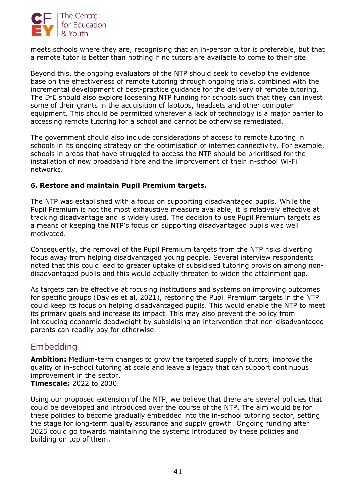

meets schools where they are, recognising that an in-person tutor is preferable, but that a remote tutor is better than nothing if no tutors are available to come to their site.

Beyond this, the ongoing evaluators of the NTP should seek to develop the evidence base on the effectiveness of remote tutoring through ongoing trials, combined with the incremental development of best-practice guidance for the delivery of remote tutoring. The DfE should also explore loosening NTP funding for schools such that they can invest some of their grants in the acquisition of laptops, headsets and other computer equipment. This should be permitted wherever a lack of technology is a major barrier to accessing remote tutoring for a school and cannot be otherwise remediated.

The government should also include considerations of access to remote tutoring in schools in its ongoing strategy on the optimisation of internet connectivity. For example, schools in areas that have struggled to access the NTP should be prioritised for the installation of new broadband fibre and the improvement of their in-school Wi-Fi networks.

## **6. Restore and maintain Pupil Premium targets.**

The NTP was established with a focus on supporting disadvantaged pupils. While the Pupil Premium is not the most exhaustive measure available, it is relatively effective at tracking disadvantage and is widely used. The decision to use Pupil Premium targets as a means of keeping the NTP's focus on supporting disadvantaged pupils was well motivated.

Consequently, the removal of the Pupil Premium targets from the NTP risks diverting focus away from helping disadvantaged young people. Several interview respondents noted that this could lead to greater uptake of subsidised tutoring provision among nondisadvantaged pupils and this would actually threaten to widen the attainment gap.

As targets can be effective at focusing institutions and systems on improving outcomes for specific groups (Davies et al, 2021), restoring the Pupil Premium targets in the NTP could keep its focus on helping disadvantaged pupils. This would enable the NTP to meet its primary goals and increase its impact. This may also prevent the policy from introducing economic deadweight by subsidising an intervention that non-disadvantaged parents can readily pay for otherwise.

## Embedding

**Ambition:** Medium-term changes to grow the targeted supply of tutors, improve the quality of in-school tutoring at scale and leave a legacy that can support continuous improvement in the sector. **Timescale:** 2022 to 2030.

Using our proposed extension of the NTP, we believe that there are several policies that could be developed and introduced over the course of the NTP. The aim would be for these policies to become gradually embedded into the in-school tutoring sector, setting the stage for long-term quality assurance and supply growth. Ongoing funding after 2025 could go towards maintaining the systems introduced by these policies and building on top of them.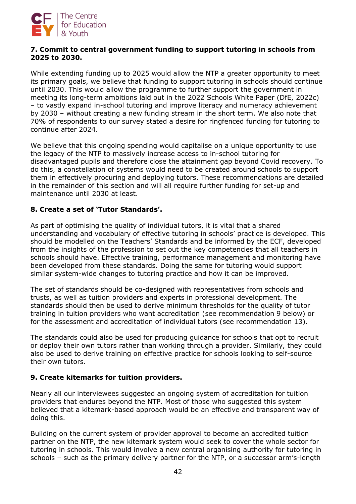

#### **7. Commit to central government funding to support tutoring in schools from 2025 to 2030.**

While extending funding up to 2025 would allow the NTP a greater opportunity to meet its primary goals, we believe that funding to support tutoring in schools should continue until 2030. This would allow the programme to further support the government in meeting its long-term ambitions laid out in the 2022 Schools White Paper (DfE, 2022c) – to vastly expand in-school tutoring and improve literacy and numeracy achievement by 2030 – without creating a new funding stream in the short term. We also note that 70% of respondents to our survey stated a desire for ringfenced funding for tutoring to continue after 2024.

We believe that this ongoing spending would capitalise on a unique opportunity to use the legacy of the NTP to massively increase access to in-school tutoring for disadvantaged pupils and therefore close the attainment gap beyond Covid recovery. To do this, a constellation of systems would need to be created around schools to support them in effectively procuring and deploying tutors. These recommendations are detailed in the remainder of this section and will all require further funding for set-up and maintenance until 2030 at least.

## **8. Create a set of 'Tutor Standards'.**

As part of optimising the quality of individual tutors, it is vital that a shared understanding and vocabulary of effective tutoring in schools' practice is developed. This should be modelled on the Teachers' Standards and be informed by the ECF, developed from the insights of the profession to set out the key competencies that all teachers in schools should have. Effective training, performance management and monitoring have been developed from these standards. Doing the same for tutoring would support similar system-wide changes to tutoring practice and how it can be improved.

The set of standards should be co-designed with representatives from schools and trusts, as well as tuition providers and experts in professional development. The standards should then be used to derive minimum thresholds for the quality of tutor training in tuition providers who want accreditation (see recommendation 9 below) or for the assessment and accreditation of individual tutors (see recommendation 13).

The standards could also be used for producing guidance for schools that opt to recruit or deploy their own tutors rather than working through a provider. Similarly, they could also be used to derive training on effective practice for schools looking to self-source their own tutors.

## **9. Create kitemarks for tuition providers.**

Nearly all our interviewees suggested an ongoing system of accreditation for tuition providers that endures beyond the NTP. Most of those who suggested this system believed that a kitemark-based approach would be an effective and transparent way of doing this.

Building on the current system of provider approval to become an accredited tuition partner on the NTP, the new kitemark system would seek to cover the whole sector for tutoring in schools. This would involve a new central organising authority for tutoring in schools – such as the primary delivery partner for the NTP, or a successor arm's-length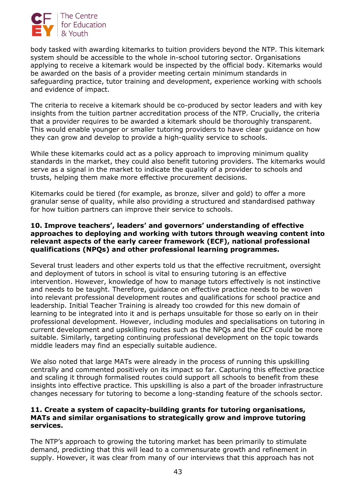

body tasked with awarding kitemarks to tuition providers beyond the NTP. This kitemark system should be accessible to the whole in-school tutoring sector. Organisations applying to receive a kitemark would be inspected by the official body. Kitemarks would be awarded on the basis of a provider meeting certain minimum standards in safeguarding practice, tutor training and development, experience working with schools and evidence of impact.

The criteria to receive a kitemark should be co-produced by sector leaders and with key insights from the tuition partner accreditation process of the NTP. Crucially, the criteria that a provider requires to be awarded a kitemark should be thoroughly transparent. This would enable younger or smaller tutoring providers to have clear guidance on how they can grow and develop to provide a high-quality service to schools.

While these kitemarks could act as a policy approach to improving minimum quality standards in the market, they could also benefit tutoring providers. The kitemarks would serve as a signal in the market to indicate the quality of a provider to schools and trusts, helping them make more effective procurement decisions.

Kitemarks could be tiered (for example, as bronze, silver and gold) to offer a more granular sense of quality, while also providing a structured and standardised pathway for how tuition partners can improve their service to schools.

#### **10. Improve teachers', leaders' and governors' understanding of effective approaches to deploying and working with tutors through weaving content into relevant aspects of the early career framework (ECF), national professional qualifications (NPQs) and other professional learning programmes.**

Several trust leaders and other experts told us that the effective recruitment, oversight and deployment of tutors in school is vital to ensuring tutoring is an effective intervention. However, knowledge of how to manage tutors effectively is not instinctive and needs to be taught. Therefore, guidance on effective practice needs to be woven into relevant professional development routes and qualifications for school practice and leadership. Initial Teacher Training is already too crowded for this new domain of learning to be integrated into it and is perhaps unsuitable for those so early on in their professional development. However, including modules and specialisations on tutoring in current development and upskilling routes such as the NPQs and the ECF could be more suitable. Similarly, targeting continuing professional development on the topic towards middle leaders may find an especially suitable audience.

We also noted that large MATs were already in the process of running this upskilling centrally and commented positively on its impact so far. Capturing this effective practice and scaling it through formalised routes could support all schools to benefit from these insights into effective practice. This upskilling is also a part of the broader infrastructure changes necessary for tutoring to become a long-standing feature of the schools sector.

#### **11. Create a system of capacity-building grants for tutoring organisations, MATs and similar organisations to strategically grow and improve tutoring services.**

The NTP's approach to growing the tutoring market has been primarily to stimulate demand, predicting that this will lead to a commensurate growth and refinement in supply. However, it was clear from many of our interviews that this approach has not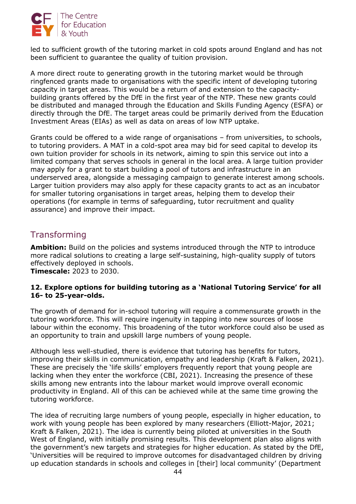

led to sufficient growth of the tutoring market in cold spots around England and has not been sufficient to guarantee the quality of tuition provision.

A more direct route to generating growth in the tutoring market would be through ringfenced grants made to organisations with the specific intent of developing tutoring capacity in target areas. This would be a return of and extension to the capacitybuilding grants offered by the DfE in the first year of the NTP. These new grants could be distributed and managed through the Education and Skills Funding Agency (ESFA) or directly through the DfE. The target areas could be primarily derived from the Education Investment Areas (EIAs) as well as data on areas of low NTP uptake.

Grants could be offered to a wide range of organisations – from universities, to schools, to tutoring providers. A MAT in a cold-spot area may bid for seed capital to develop its own tuition provider for schools in its network, aiming to spin this service out into a limited company that serves schools in general in the local area. A large tuition provider may apply for a grant to start building a pool of tutors and infrastructure in an underserved area, alongside a messaging campaign to generate interest among schools. Larger tuition providers may also apply for these capacity grants to act as an incubator for smaller tutoring organisations in target areas, helping them to develop their operations (for example in terms of safeguarding, tutor recruitment and quality assurance) and improve their impact.

## **Transforming**

**Ambition:** Build on the policies and systems introduced through the NTP to introduce more radical solutions to creating a large self-sustaining, high-quality supply of tutors effectively deployed in schools. **Timescale:** 2023 to 2030.

#### **12. Explore options for building tutoring as a 'National Tutoring Service' for all 16- to 25-year-olds.**

The growth of demand for in-school tutoring will require a commensurate growth in the tutoring workforce. This will require ingenuity in tapping into new sources of loose labour within the economy. This broadening of the tutor workforce could also be used as an opportunity to train and upskill large numbers of young people.

Although less well-studied, there is evidence that tutoring has benefits for tutors, improving their skills in communication, empathy and leadership (Kraft & Falken, 2021). These are precisely the 'life skills' employers frequently report that young people are lacking when they enter the workforce (CBI, 2021). Increasing the presence of these skills among new entrants into the labour market would improve overall economic productivity in England. All of this can be achieved while at the same time growing the tutoring workforce.

The idea of recruiting large numbers of young people, especially in higher education, to work with young people has been explored by many researchers (Elliott-Major, 2021; Kraft & Falken, 2021). The idea is currently being piloted at universities in the South West of England, with initially promising results. This development plan also aligns with the government's new targets and strategies for higher education. As stated by the DfE, 'Universities will be required to improve outcomes for disadvantaged children by driving up education standards in schools and colleges in [their] local community' (Department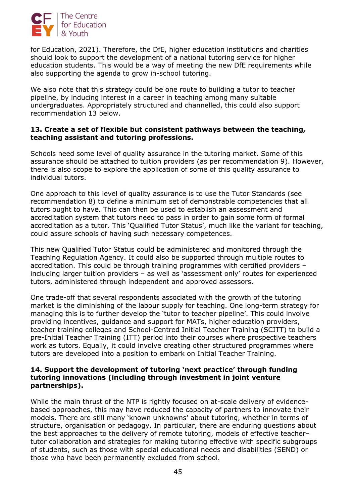

for Education, 2021). Therefore, the DfE, higher education institutions and charities should look to support the development of a national tutoring service for higher education students. This would be a way of meeting the new DfE requirements while also supporting the agenda to grow in-school tutoring.

We also note that this strategy could be one route to building a tutor to teacher pipeline, by inducing interest in a career in teaching among many suitable undergraduates. Appropriately structured and channelled, this could also support recommendation 13 below.

#### **13. Create a set of flexible but consistent pathways between the teaching, teaching assistant and tutoring professions.**

Schools need some level of quality assurance in the tutoring market. Some of this assurance should be attached to tuition providers (as per recommendation 9). However, there is also scope to explore the application of some of this quality assurance to individual tutors.

One approach to this level of quality assurance is to use the Tutor Standards (see recommendation 8) to define a minimum set of demonstrable competencies that all tutors ought to have. This can then be used to establish an assessment and accreditation system that tutors need to pass in order to gain some form of formal accreditation as a tutor. This 'Qualified Tutor Status', much like the variant for teaching, could assure schools of having such necessary competences.

This new Qualified Tutor Status could be administered and monitored through the Teaching Regulation Agency. It could also be supported through multiple routes to accreditation. This could be through training programmes with certified providers – including larger tuition providers – as well as 'assessment only' routes for experienced tutors, administered through independent and approved assessors.

One trade-off that several respondents associated with the growth of the tutoring market is the diminishing of the labour supply for teaching. One long-term strategy for managing this is to further develop the 'tutor to teacher pipeline'. This could involve providing incentives, guidance and support for MATs, higher education providers, teacher training colleges and School-Centred Initial Teacher Training (SCITT) to build a pre-Initial Teacher Training (ITT) period into their courses where prospective teachers work as tutors. Equally, it could involve creating other structured programmes where tutors are developed into a position to embark on Initial Teacher Training.

#### **14. Support the development of tutoring 'next practice' through funding tutoring innovations (including through investment in joint venture partnerships).**

While the main thrust of the NTP is rightly focused on at-scale delivery of evidencebased approaches, this may have reduced the capacity of partners to innovate their models. There are still many 'known unknowns' about tutoring, whether in terms of structure, organisation or pedagogy. In particular, there are enduring questions about the best approaches to the delivery of remote tutoring, models of effective teacher– tutor collaboration and strategies for making tutoring effective with specific subgroups of students, such as those with special educational needs and disabilities (SEND) or those who have been permanently excluded from school.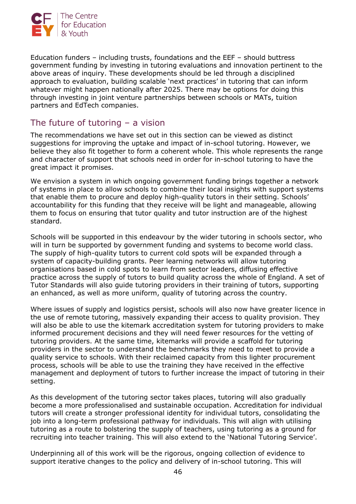

Education funders – including trusts, foundations and the EEF – should buttress government funding by investing in tutoring evaluations and innovation pertinent to the above areas of inquiry. These developments should be led through a disciplined approach to evaluation, building scalable 'next practices' in tutoring that can inform whatever might happen nationally after 2025. There may be options for doing this through investing in joint venture partnerships between schools or MATs, tuition partners and EdTech companies.

## The future of tutoring – a vision

The recommendations we have set out in this section can be viewed as distinct suggestions for improving the uptake and impact of in-school tutoring. However, we believe they also fit together to form a coherent whole. This whole represents the range and character of support that schools need in order for in-school tutoring to have the great impact it promises.

We envision a system in which ongoing government funding brings together a network of systems in place to allow schools to combine their local insights with support systems that enable them to procure and deploy high-quality tutors in their setting. Schools' accountability for this funding that they receive will be light and manageable, allowing them to focus on ensuring that tutor quality and tutor instruction are of the highest standard.

Schools will be supported in this endeavour by the wider tutoring in schools sector, who will in turn be supported by government funding and systems to become world class. The supply of high-quality tutors to current cold spots will be expanded through a system of capacity-building grants. Peer learning networks will allow tutoring organisations based in cold spots to learn from sector leaders, diffusing effective practice across the supply of tutors to build quality across the whole of England. A set of Tutor Standards will also guide tutoring providers in their training of tutors, supporting an enhanced, as well as more uniform, quality of tutoring across the country.

Where issues of supply and logistics persist, schools will also now have greater licence in the use of remote tutoring, massively expanding their access to quality provision. They will also be able to use the kitemark accreditation system for tutoring providers to make informed procurement decisions and they will need fewer resources for the vetting of tutoring providers. At the same time, kitemarks will provide a scaffold for tutoring providers in the sector to understand the benchmarks they need to meet to provide a quality service to schools. With their reclaimed capacity from this lighter procurement process, schools will be able to use the training they have received in the effective management and deployment of tutors to further increase the impact of tutoring in their setting.

As this development of the tutoring sector takes places, tutoring will also gradually become a more professionalised and sustainable occupation. Accreditation for individual tutors will create a stronger professional identity for individual tutors, consolidating the job into a long-term professional pathway for individuals. This will align with utilising tutoring as a route to bolstering the supply of teachers, using tutoring as a ground for recruiting into teacher training. This will also extend to the 'National Tutoring Service'.

Underpinning all of this work will be the rigorous, ongoing collection of evidence to support iterative changes to the policy and delivery of in-school tutoring. This will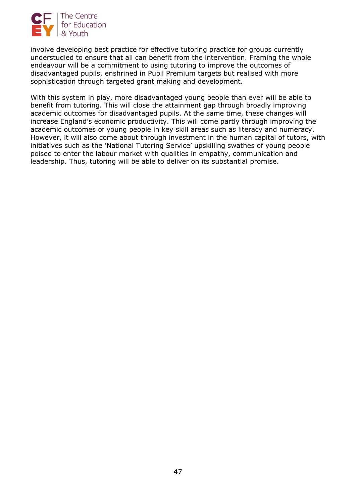

involve developing best practice for effective tutoring practice for groups currently understudied to ensure that all can benefit from the intervention. Framing the whole endeavour will be a commitment to using tutoring to improve the outcomes of disadvantaged pupils, enshrined in Pupil Premium targets but realised with more sophistication through targeted grant making and development.

With this system in play, more disadvantaged young people than ever will be able to benefit from tutoring. This will close the attainment gap through broadly improving academic outcomes for disadvantaged pupils. At the same time, these changes will increase England's economic productivity. This will come partly through improving the academic outcomes of young people in key skill areas such as literacy and numeracy. However, it will also come about through investment in the human capital of tutors, with initiatives such as the 'National Tutoring Service' upskilling swathes of young people poised to enter the labour market with qualities in empathy, communication and leadership. Thus, tutoring will be able to deliver on its substantial promise.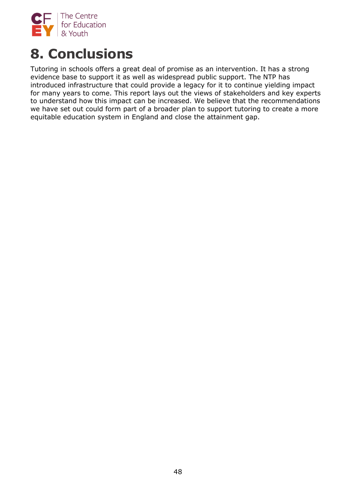

# **8. Conclusions**

Tutoring in schools offers a great deal of promise as an intervention. It has a strong evidence base to support it as well as widespread public support. The NTP has introduced infrastructure that could provide a legacy for it to continue yielding impact for many years to come. This report lays out the views of stakeholders and key experts to understand how this impact can be increased. We believe that the recommendations we have set out could form part of a broader plan to support tutoring to create a more equitable education system in England and close the attainment gap.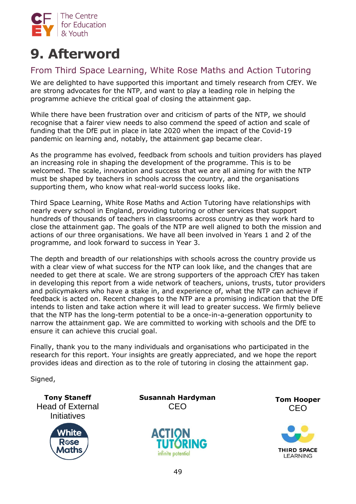

# **9. Afterword**

## From Third Space Learning, White Rose Maths and Action Tutoring

We are delighted to have supported this important and timely research from CfEY. We are strong advocates for the NTP, and want to play a leading role in helping the programme achieve the critical goal of closing the attainment gap.

While there have been frustration over and criticism of parts of the NTP, we should recognise that a fairer view needs to also commend the speed of action and scale of funding that the DfE put in place in late 2020 when the impact of the Covid-19 pandemic on learning and, notably, the attainment gap became clear.

As the programme has evolved, feedback from schools and tuition providers has played an increasing role in shaping the development of the programme. This is to be welcomed. The scale, innovation and success that we are all aiming for with the NTP must be shaped by teachers in schools across the country, and the organisations supporting them, who know what real-world success looks like.

Third Space Learning, White Rose Maths and Action Tutoring have relationships with nearly every school in England, providing tutoring or other services that support hundreds of thousands of teachers in classrooms across country as they work hard to close the attainment gap. The goals of the NTP are well aligned to both the mission and actions of our three organisations. We have all been involved in Years 1 and 2 of the programme, and look forward to success in Year 3.

The depth and breadth of our relationships with schools across the country provide us with a clear view of what success for the NTP can look like, and the changes that are needed to get there at scale. We are strong supporters of the approach CfEY has taken in developing this report from a wide network of teachers, unions, trusts, tutor providers and policymakers who have a stake in, and experience of, what the NTP can achieve if feedback is acted on. Recent changes to the NTP are a promising indication that the DfE intends to listen and take action where it will lead to greater success. We firmly believe that the NTP has the long-term potential to be a once-in-a-generation opportunity to narrow the attainment gap. We are committed to working with schools and the DfE to ensure it can achieve this crucial goal.

Finally, thank you to the many individuals and organisations who participated in the research for this report. Your insights are greatly appreciated, and we hope the report provides ideas and direction as to the role of tutoring in closing the attainment gap.

Signed,

**Tony Staneff** Head of External **Initiatives** 



**Susannah Hardyman**  CEO





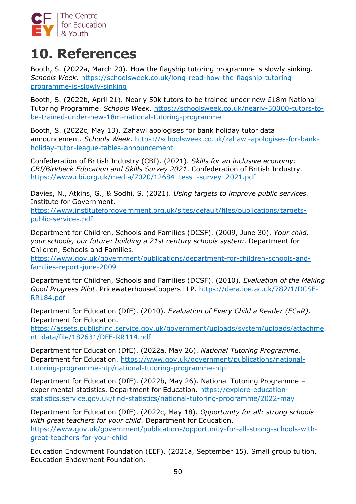

# **10. References**

Booth, S. (2022a, March 20). How the flagship tutoring programme is slowly sinking. *Schools Week*. [https://schoolsweek.co.uk/long-read-how-the-flagship-tutoring](https://schoolsweek.co.uk/long-read-how-the-flagship-tutoring-programme-is-slowly-sinking)[programme-is-slowly-sinking](https://schoolsweek.co.uk/long-read-how-the-flagship-tutoring-programme-is-slowly-sinking) 

Booth, S. (2022b, April 21). Nearly 50k tutors to be trained under new £18m National Tutoring Programme. *Schools Week*. [https://schoolsweek.co.uk/nearly-50000-tutors-to](https://schoolsweek.co.uk/nearly-50000-tutors-to-be-trained-under-new-18m-national-tutoring-programme/)[be-trained-under-new-18m-national-tutoring-programme](https://schoolsweek.co.uk/nearly-50000-tutors-to-be-trained-under-new-18m-national-tutoring-programme/)

Booth, S. (2022c, May 13). Zahawi apologises for bank holiday tutor data announcement. *Schools Week*. [https://schoolsweek.co.uk/zahawi-apologises-for-bank](https://schoolsweek.co.uk/zahawi-apologises-for-bank-holiday-tutor-league-tables-announcement/)[holiday-tutor-league-tables-announcement](https://schoolsweek.co.uk/zahawi-apologises-for-bank-holiday-tutor-league-tables-announcement/)

Confederation of British Industry (CBI). (2021). *Skills for an inclusive economy: CBI/Birkbeck Education and Skills Survey 2021*. Confederation of British Industry*.*  [https://www.cbi.org.uk/media/7020/12684\\_tess\\_-survey\\_2021.pdf](https://www.cbi.org.uk/media/7020/12684_tess_-survey_2021.pdf)

Davies, N., Atkins, G., & Sodhi, S. (2021). *Using targets to improve public services.*  Institute for Government.

[https://www.instituteforgovernment.org.uk/sites/default/files/publications/targets](https://www.instituteforgovernment.org.uk/sites/default/files/publications/targets-public-services.pdf)[public-services.pdf](https://www.instituteforgovernment.org.uk/sites/default/files/publications/targets-public-services.pdf)

Department for Children, Schools and Families (DCSF). (2009, June 30). *Your child, your schools, our future: building a 21st century schools system*. Department for Children, Schools and Families.

[https://www.gov.uk/government/publications/department-for-children-schools-and](https://www.gov.uk/government/publications/department-for-children-schools-and-families-report-june-2009)[families-report-june-2009](https://www.gov.uk/government/publications/department-for-children-schools-and-families-report-june-2009)

Department for Children, Schools and Families (DCSF). (2010). *Evaluation of the Making Good Progress Pilot*. PricewaterhouseCoopers LLP. [https://dera.ioe.ac.uk/782/1/DCSF-](https://dera.ioe.ac.uk/782/1/DCSF-RR184.pdf)[RR184.pdf](https://dera.ioe.ac.uk/782/1/DCSF-RR184.pdf)

Department for Education (DfE). (2010). *Evaluation of Every Child a Reader (ECaR)*. Department for Education.

[https://assets.publishing.service.gov.uk/government/uploads/system/uploads/attachme](https://assets.publishing.service.gov.uk/government/uploads/system/uploads/attachment_data/file/182631/DFE-RR114.pdf) [nt\\_data/file/182631/DFE-RR114.pdf](https://assets.publishing.service.gov.uk/government/uploads/system/uploads/attachment_data/file/182631/DFE-RR114.pdf)

Department for Education (DfE). (2022a, May 26). *National Tutoring Programme*. Department for Education. [https://www.gov.uk/government/publications/national](https://www.gov.uk/government/publications/national-tutoring-programme-ntp/national-tutoring-programme-ntp)[tutoring-programme-ntp/national-tutoring-programme-ntp](https://www.gov.uk/government/publications/national-tutoring-programme-ntp/national-tutoring-programme-ntp)

Department for Education (DfE). (2022b, May 26). National Tutoring Programme – experimental statistics. Department for Education. [https://explore-education](https://explore-education-statistics.service.gov.uk/find-statistics/national-tutoring-programme/2022-may)[statistics.service.gov.uk/find-statistics/national-tutoring-programme/2022-may](https://explore-education-statistics.service.gov.uk/find-statistics/national-tutoring-programme/2022-may)

Department for Education (DfE). (2022c, May 18). *Opportunity for all: strong schools with great teachers for your child*. Department for Education. [https://www.gov.uk/government/publications/opportunity-for-all-strong-schools-with](https://www.gov.uk/government/publications/opportunity-for-all-strong-schools-with-great-teachers-for-your-child)[great-teachers-for-your-child](https://www.gov.uk/government/publications/opportunity-for-all-strong-schools-with-great-teachers-for-your-child)

Education Endowment Foundation (EEF). (2021a, September 15). Small group tuition. Education Endowment Foundation.